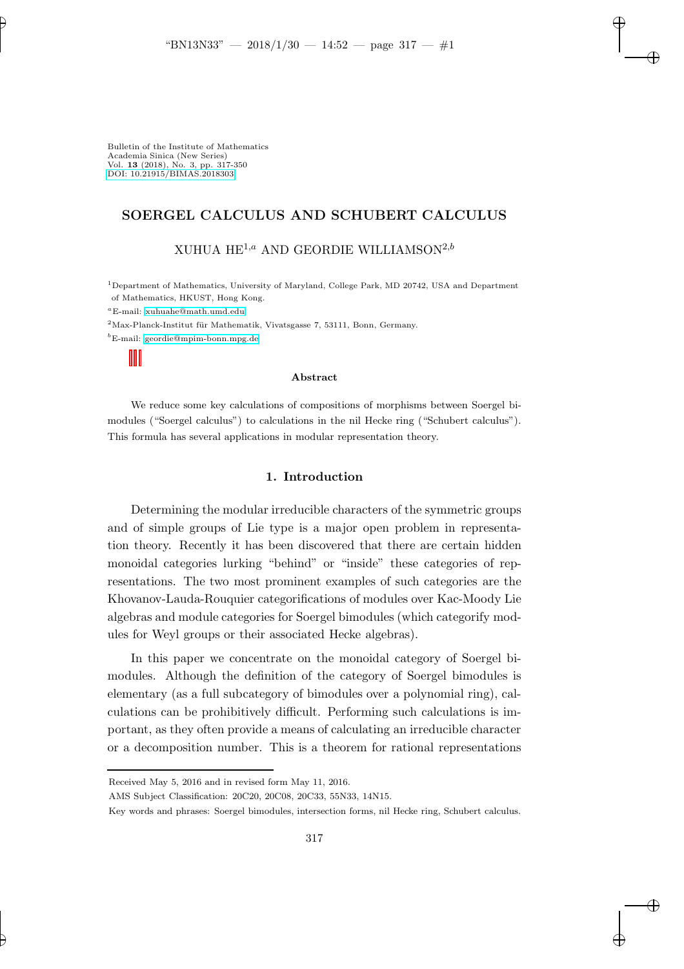Bulletin of the Institute of Mathematics Academia Sinica (New Series) Vol. 13 (2018), No. 3, pp. 317-350 [DOI: 10.21915/BIMAS.2018303](10.21915/BIMAS.2018303)

## SOERGEL CALCULUS AND SCHUBERT CALCULUS

# XUHUA  $HE^{1,a}$  AND GEORDIE WILLIAMSON<sup>2,b</sup>

<sup>1</sup>Department of Mathematics, University of Maryland, College Park, MD 20742, USA and Department of Mathematics, HKUST, Hong Kong.

 ${}^a$ E-mail: [xuhuahe@math.umd.edu](mailto:xuhuahe@math.umd.edu)

 $2$ Max-Planck-Institut für Mathematik, Vivatsgasse 7, 53111, Bonn, Germany.

 ${}^bE$ -mail: [geordie@mpim-bonn.mpg.de](mailto:geordie@mpim-bonn.mpg.de)

#### Abstract

We reduce some key calculations of compositions of morphisms between Soergel bimodules ("Soergel calculus") to calculations in the nil Hecke ring ("Schubert calculus"). This formula has several applications in modular representation theory.

#### 1. Introduction

Determining the modular irreducible characters of the symmetric groups and of simple groups of Lie type is a major open problem in representation theory. Recently it has been discovered that there are certain hidden monoidal categories lurking "behind" or "inside" these categories of representations. The two most prominent examples of such categories are the Khovanov-Lauda-Rouquier categorifications of modules over Kac-Moody Lie algebras and module categories for Soergel bimodules (which categorify modules for Weyl groups or their associated Hecke algebras).

In this paper we concentrate on the monoidal category of Soergel bimodules. Although the definition of the category of Soergel bimodules is elementary (as a full subcategory of bimodules over a polynomial ring), calculations can be prohibitively difficult. Performing such calculations is important, as they often provide a means of calculating an irreducible character or a decomposition number. This is a theorem for rational representations

Received May 5, 2016 and in revised form May 11, 2016.

AMS Subject Classification: 20C20, 20C08, 20C33, 55N33, 14N15.

Key words and phrases: Soergel bimodules, intersection forms, nil Hecke ring, Schubert calculus.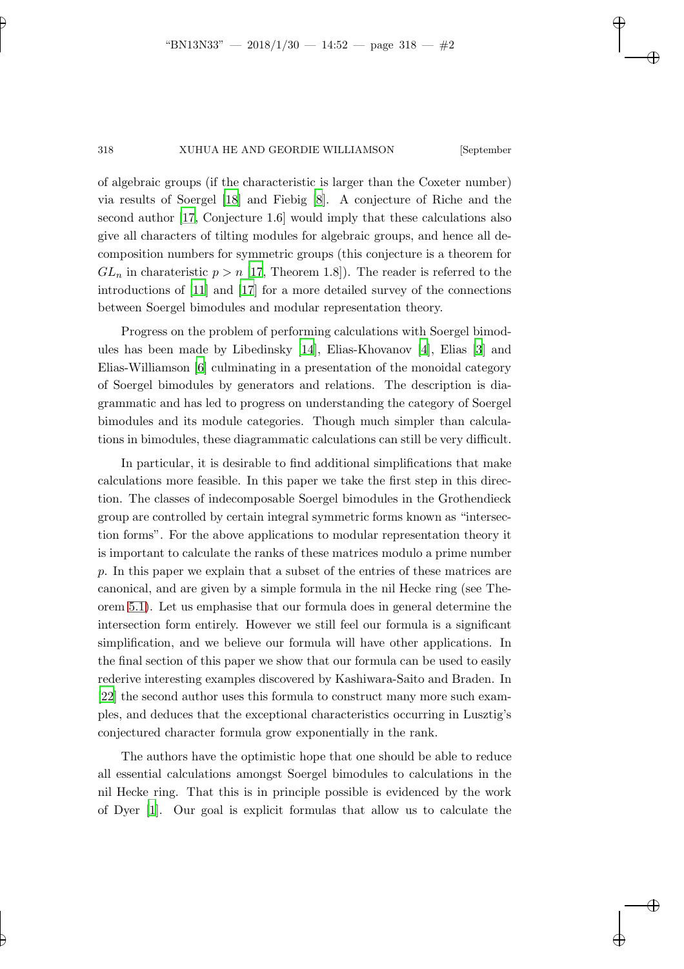of algebraic groups (if the characteristic is larger than the Coxeter number) via results of Soergel [\[18\]](#page-33-0) and Fiebig [\[8](#page-32-0)]. A conjecture of Riche and the second author [\[17](#page-33-1), Conjecture 1.6] would imply that these calculations also give all characters of tilting modules for algebraic groups, and hence all decomposition numbers for symmetric groups (this conjecture is a theorem for  $GL_n$  in charateristic  $p > n$  [\[17](#page-33-1), Theorem 1.8]). The reader is referred to the introductions of [\[11](#page-32-1)] and [\[17\]](#page-33-1) for a more detailed survey of the connections between Soergel bimodules and modular representation theory.

Progress on the problem of performing calculations with Soergel bimodules has been made by Libedinsky [\[14\]](#page-33-2), Elias-Khovanov [\[4](#page-32-2)], Elias [\[3](#page-32-3)] and Elias-Williamson [\[6](#page-32-4)] culminating in a presentation of the monoidal category of Soergel bimodules by generators and relations. The description is diagrammatic and has led to progress on understanding the category of Soergel bimodules and its module categories. Though much simpler than calculations in bimodules, these diagrammatic calculations can still be very difficult.

In particular, it is desirable to find additional simplifications that make calculations more feasible. In this paper we take the first step in this direction. The classes of indecomposable Soergel bimodules in the Grothendieck group are controlled by certain integral symmetric forms known as "intersection forms". For the above applications to modular representation theory it is important to calculate the ranks of these matrices modulo a prime number p. In this paper we explain that a subset of the entries of these matrices are canonical, and are given by a simple formula in the nil Hecke ring (see Theorem [5.1\)](#page-26-0). Let us emphasise that our formula does in general determine the intersection form entirely. However we still feel our formula is a significant simplification, and we believe our formula will have other applications. In the final section of this paper we show that our formula can be used to easily rederive interesting examples discovered by Kashiwara-Saito and Braden. In [\[22\]](#page-33-3) the second author uses this formula to construct many more such examples, and deduces that the exceptional characteristics occurring in Lusztig's conjectured character formula grow exponentially in the rank.

The authors have the optimistic hope that one should be able to reduce all essential calculations amongst Soergel bimodules to calculations in the nil Hecke ring. That this is in principle possible is evidenced by the work of Dyer [\[1](#page-32-5)]. Our goal is explicit formulas that allow us to calculate the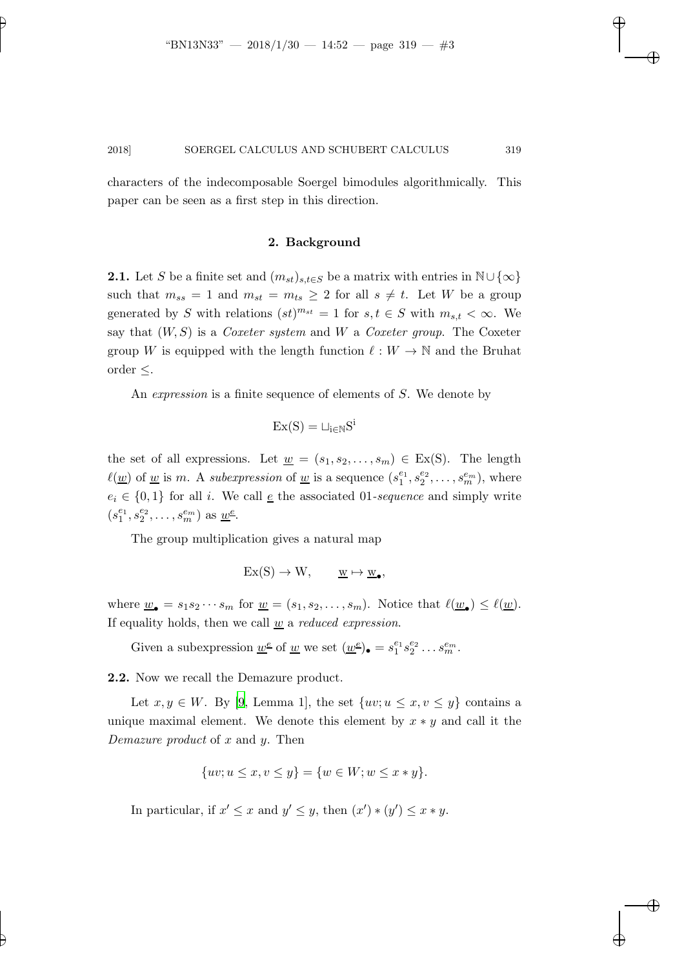characters of the indecomposable Soergel bimodules algorithmically. This paper can be seen as a first step in this direction.

#### 2. Background

**2.1.** Let S be a finite set and  $(m_{st})_{s,t\in S}$  be a matrix with entries in  $\mathbb{N}\cup\{\infty\}$ such that  $m_{ss} = 1$  and  $m_{st} = m_{ts} \geq 2$  for all  $s \neq t$ . Let W be a group generated by S with relations  $(st)^{m_{st}} = 1$  for  $s, t \in S$  with  $m_{s,t} < \infty$ . We say that (W, S) is a *Coxeter system* and W a *Coxeter group*. The Coxeter group W is equipped with the length function  $\ell : W \to \mathbb{N}$  and the Bruhat order ≤.

An *expression* is a finite sequence of elements of S. We denote by

$$
Ex(S) = \sqcup_{i \in \mathbb{N}} S^i
$$

the set of all expressions. Let  $\underline{w} = (s_1, s_2, \ldots, s_m) \in Ex(S)$ . The length  $\ell(\underline{w})$  of <u>w</u> is m. A *subexpression* of <u>w</u> is a sequence  $(s_1^{e_1}, s_2^{e_2}, \ldots, s_m^{e_m})$ , where  $e_i \in \{0,1\}$  for all i. We call <u>e</u> the associated 01-sequence and simply write  $(s_1^{e_1}, s_2^{e_2}, \ldots, s_m^{e_m})$  as <u>w</u><sup>e</sup>.

The group multiplication gives a natural map

$$
Ex(S) \to W, \qquad \underline{w} \mapsto \underline{w}_{\bullet},
$$

where  $\underline{w}_{\bullet} = s_1 s_2 \cdots s_m$  for  $\underline{w} = (s_1, s_2, \ldots, s_m)$ . Notice that  $\ell(\underline{w}_{\bullet}) \leq \ell(\underline{w})$ . If equality holds, then we call w a *reduced expression*.

Given a subexpression  $\underline{w}^{\underline{e}}$  of  $\underline{w}$  we set  $(\underline{w}^{\underline{e}})_{\bullet} = s_1^{e_1} s_2^{e_2} \dots s_m^{e_m}$ .

2.2. Now we recall the Demazure product.

Let  $x, y \in W$ . By [\[9](#page-32-6), Lemma 1], the set  $\{uv; u \leq x, v \leq y\}$  contains a unique maximal element. We denote this element by  $x * y$  and call it the *Demazure product* of x and y. Then

$$
{uv; u \le x, v \le y} = {w \in W; w \le x * y}.
$$

In particular, if  $x' \leq x$  and  $y' \leq y$ , then  $(x') * (y') \leq x * y$ .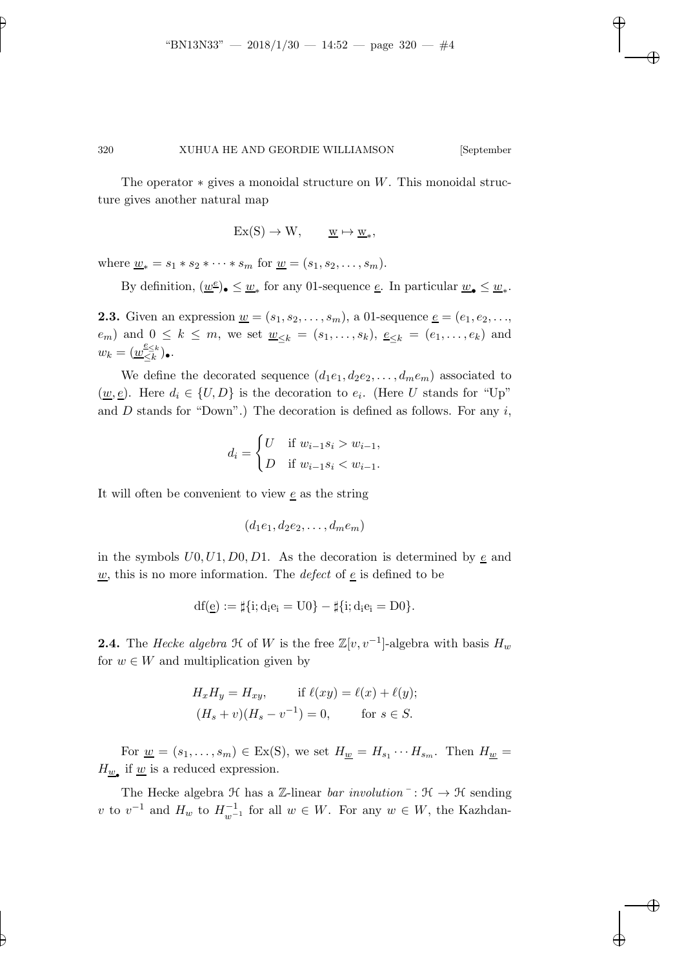The operator  $*$  gives a monoidal structure on W. This monoidal structure gives another natural map

$$
Ex(S) \to W, \qquad \underline{w} \mapsto \underline{w}_*,
$$

where  $\underline{w}_* = s_1 * s_2 * \cdots * s_m$  for  $\underline{w} = (s_1, s_2, \ldots, s_m)$ .

By definition,  $(\underline{w}^{\underline{e}})_{\bullet} \leq \underline{w}_{*}$  for any 01-sequence  $\underline{e}$ . In particular  $\underline{w}_{\bullet} \leq \underline{w}_{*}$ .

**2.3.** Given an expression  $\underline{w} = (s_1, s_2, \ldots, s_m)$ , a 01-sequence  $\underline{e} = (e_1, e_2, \ldots, e_m)$  $(e_m)$  and  $0 \le k \le m$ , we set  $\underline{w}_{\le k} = (s_1, \ldots, s_k)$ ,  $\underline{e}_{\le k} = (e_1, \ldots, e_k)$  and  $w_k = (\underline{w}_{\leq k}^{\underline{e}_{\leq k}})$  $\leq_k^{\leq k}$ ).

We define the decorated sequence  $(d_1e_1, d_2e_2, \ldots, d_me_m)$  associated to  $(\underline{w}, \underline{e})$ . Here  $d_i \in \{U, D\}$  is the decoration to  $e_i$ . (Here U stands for "Up" and D stands for "Down".) The decoration is defined as follows. For any  $i$ ,

$$
d_i = \begin{cases} U & \text{if } w_{i-1}s_i > w_{i-1}, \\ D & \text{if } w_{i-1}s_i < w_{i-1}. \end{cases}
$$

It will often be convenient to view  $\epsilon$  as the string

$$
(d_1e_1, d_2e_2, \ldots, d_me_m)
$$

in the symbols  $U0, U1, D0, D1$ . As the decoration is determined by e and  $\underline{w}$ , this is no more information. The *defect* of <u>e</u> is defined to be

$$
df(\underline{e}) := \sharp \{i; d_i e_i = U0\} - \sharp \{i; d_i e_i = D0\}.
$$

**2.4.** The *Hecke algebra*  $\mathcal{H}$  of W is the free  $\mathbb{Z}[v, v^{-1}]$ -algebra with basis  $H_w$ for  $w \in W$  and multiplication given by

$$
H_x H_y = H_{xy}, \quad \text{if } \ell(xy) = \ell(x) + \ell(y);
$$
  

$$
(H_s + v)(H_s - v^{-1}) = 0, \quad \text{for } s \in S.
$$

For  $\underline{w} = (s_1, \ldots, s_m) \in \text{Ex}(S)$ , we set  $H_{\underline{w}} = H_{s_1} \cdots H_{s_m}$ . Then  $H_{\underline{w}} =$  $H_{\underline{w}_{\bullet}}$  if  $\underline{w}$  is a reduced expression.

The Hecke algebra  $\mathcal H$  has a Z-linear *bar involution*  $\vdots$   $\mathcal H \to \mathcal H$  sending v to  $v^{-1}$  and  $H_w$  to  $H_{w^{-1}}^{-1}$  for all  $w \in W$ . For any  $w \in W$ , the Kazhdan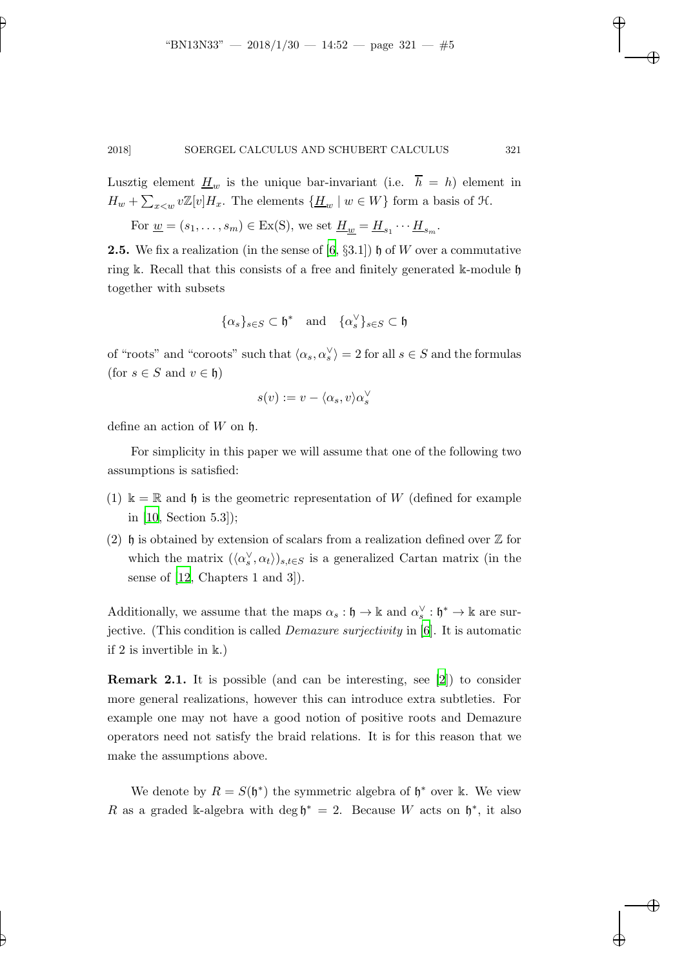Lusztig element  $\underline{H}_w$  is the unique bar-invariant (i.e.  $\overline{h} = h$ ) element in  $H_w + \sum_{x \leq w} v \mathbb{Z}[v] H_x$ . The elements  $\{\underline{H}_w \mid w \in W\}$  form a basis of  $\mathfrak{H}$ .

For  $\underline{w} = (s_1, \ldots, s_m) \in Ex(S)$ , we set  $\underline{H}_{\underline{w}} = \underline{H}_{s_1} \cdots \underline{H}_{s_m}$ .

**2.5.** We fix a realization (in the sense of  $[6, \S 3.1]$ )  $\mathfrak{h}$  of W over a commutative ring k. Recall that this consists of a free and finitely generated k-module  $\mathfrak h$ together with subsets

$$
\{\alpha_s\}_{s\in S}\subset \mathfrak{h}^*\quad \text{and}\quad \{\alpha_s^\vee\}_{s\in S}\subset \mathfrak{h}
$$

of "roots" and "coroots" such that  $\langle \alpha_s, \alpha_s^{\vee} \rangle = 2$  for all  $s \in S$  and the formulas (for  $s \in S$  and  $v \in \mathfrak{h}$ )

$$
s(v) := v - \langle \alpha_s, v \rangle \alpha_s^{\vee}
$$

define an action of  $W$  on  $\mathfrak h$ .

For simplicity in this paper we will assume that one of the following two assumptions is satisfied:

- (1)  $\mathbb{k} = \mathbb{R}$  and  $\mathfrak{h}$  is the geometric representation of W (defined for example in [\[10,](#page-32-7) Section 5.3]);
- (2) h is obtained by extension of scalars from a realization defined over  $\mathbb Z$  for which the matrix  $({\langle} \alpha_s^{\vee}, \alpha_t {\rangle})_{s,t \in S}$  is a generalized Cartan matrix (in the sense of [\[12](#page-32-8), Chapters 1 and 3]).

Additionally, we assume that the maps  $\alpha_s : \mathfrak{h} \to \mathbb{k}$  and  $\alpha_s^{\vee} : \mathfrak{h}^* \to \mathbb{k}$  are surjective. (This condition is called *Demazure surjectivity* in [\[6\]](#page-32-4). It is automatic if 2 is invertible in k.)

Remark 2.1. It is possible (and can be interesting, see [\[2](#page-32-9)]) to consider more general realizations, however this can introduce extra subtleties. For example one may not have a good notion of positive roots and Demazure operators need not satisfy the braid relations. It is for this reason that we make the assumptions above.

We denote by  $R = S(\mathfrak{h}^*)$  the symmetric algebra of  $\mathfrak{h}^*$  over k. We view R as a graded k-algebra with deg  $\mathfrak{h}^* = 2$ . Because W acts on  $\mathfrak{h}^*$ , it also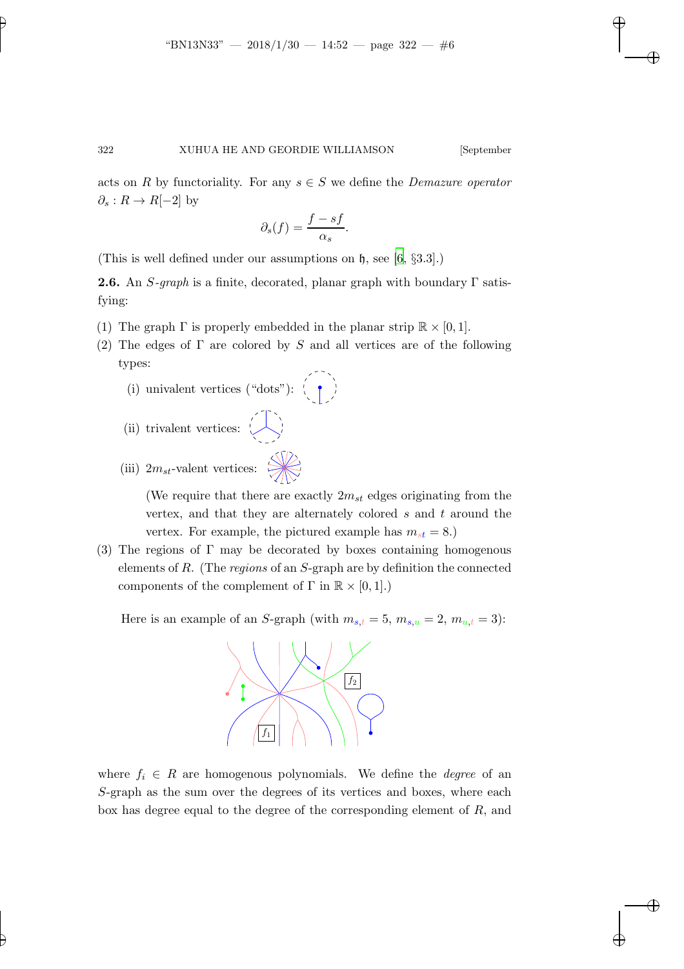acts on R by functoriality. For any  $s \in S$  we define the *Demazure operator*  $\partial_s: R \to R[-2]$  by

$$
\partial_s(f) = \frac{f - sf}{\alpha_s}.
$$

(This is well defined under our assumptions on  $\mathfrak{h}$ , see [\[6](#page-32-4), §3.3].)

**2.6.** An  $S$ -graph is a finite, decorated, planar graph with boundary  $\Gamma$  satisfying:

- (1) The graph  $\Gamma$  is properly embedded in the planar strip  $\mathbb{R} \times [0, 1]$ .
- (2) The edges of  $\Gamma$  are colored by S and all vertices are of the following types:
	- (i) univalent vertices ("dots"):  $\left(\begin{array}{c} \bullet \\ \bullet \end{array}\right)$
	- (ii) trivalent vertices:  $\left\langle \begin{array}{c} \end{array} \right\rangle$
	- (iii)  $2m_{st}$ -valent vertices:

(We require that there are exactly  $2m_{st}$  edges originating from the vertex, and that they are alternately colored s and t around the vertex. For example, the pictured example has  $m_{st} = 8$ .)

(3) The regions of  $\Gamma$  may be decorated by boxes containing homogenous elements of R. (The *regions* of an S-graph are by definition the connected components of the complement of  $\Gamma$  in  $\mathbb{R} \times [0,1]$ .)

Here is an example of an S-graph (with  $m_{s,t} = 5$ ,  $m_{s,u} = 2$ ,  $m_{u,t} = 3$ ):



where  $f_i \in R$  are homogenous polynomials. We define the *degree* of an S-graph as the sum over the degrees of its vertices and boxes, where each box has degree equal to the degree of the corresponding element of  $R$ , and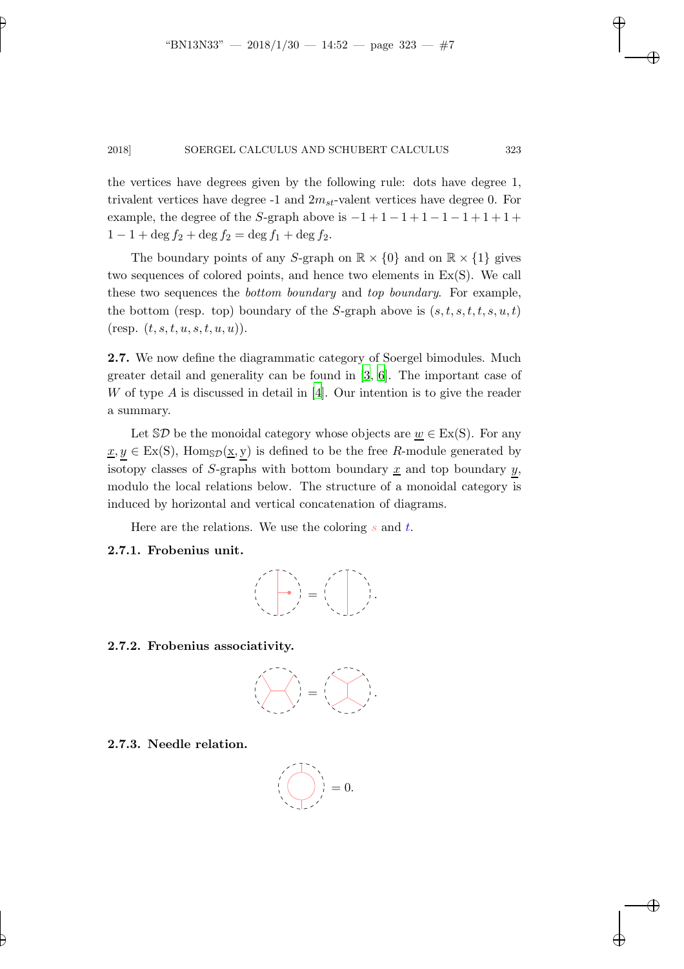the vertices have degrees given by the following rule: dots have degree 1, trivalent vertices have degree  $-1$  and  $2m_{st}$ -valent vertices have degree 0. For example, the degree of the S-graph above is  $-1+1-1+1-1-1+1+1+$  $1 - 1 + \deg f_2 + \deg f_2 = \deg f_1 + \deg f_2.$ 

The boundary points of any S-graph on  $\mathbb{R} \times \{0\}$  and on  $\mathbb{R} \times \{1\}$  gives two sequences of colored points, and hence two elements in Ex(S). We call these two sequences the *bottom boundary* and *top boundary*. For example, the bottom (resp. top) boundary of the S-graph above is  $(s, t, s, t, t, s, u, t)$ (resp.  $(t, s, t, u, s, t, u, u)$ ).

2.7. We now define the diagrammatic category of Soergel bimodules. Much greater detail and generality can be found in [\[3,](#page-32-3) [6](#page-32-4)]. The important case of W of type  $A$  is discussed in detail in [\[4](#page-32-2)]. Our intention is to give the reader a summary.

Let  $\mathcal{S}D$  be the monoidal category whose objects are  $w \in Ex(S)$ . For any  $x, y \in Ex(S)$ , Homs $p(x, y)$  is defined to be the free R-module generated by isotopy classes of S-graphs with bottom boundary  $\underline{x}$  and top boundary  $y$ , modulo the local relations below. The structure of a monoidal category is induced by horizontal and vertical concatenation of diagrams.

Here are the relations. We use the coloring  $s$  and  $t$ .

### 2.7.1. Frobenius unit.



2.7.2. Frobenius associativity.



2.7.3. Needle relation.

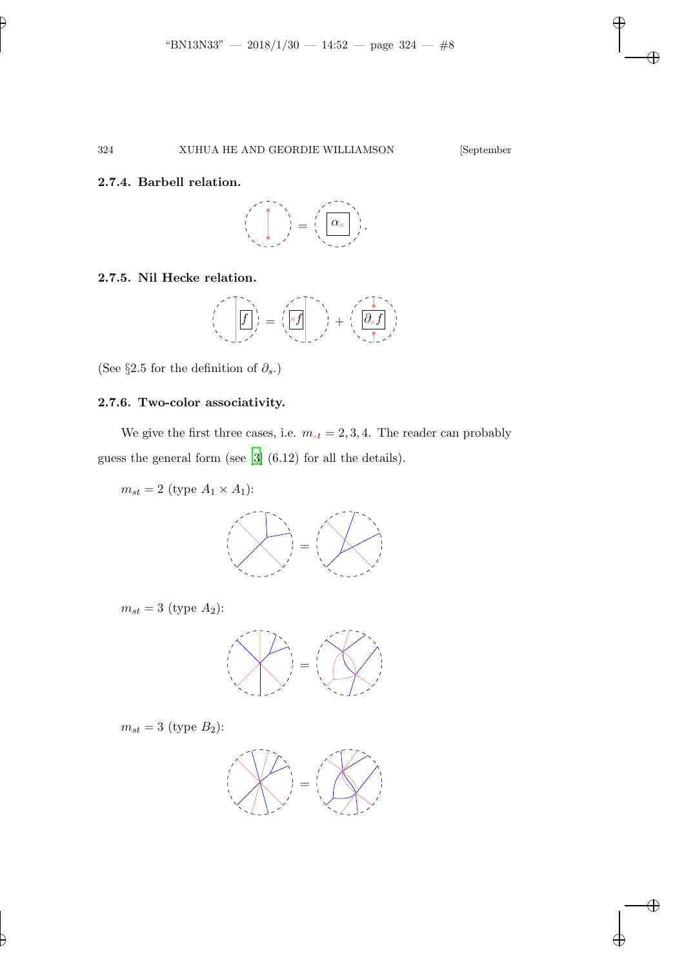#### 2.7.4. Barbell relation.

$$
\left(\begin{array}{c}\n\vdots \\
\hline\n\vdots \\
\hline\n\end{array}\right) = \left(\begin{array}{c}\n\vdots \\
\hline\n\vdots \\
\hline\n\end{array}\right).
$$

# 2.7.5. Nil Hecke relation.

$$
\left(\left(\begin{matrix} \overline{f} \\ \overline{f} \end{matrix}\right)\right) = \left(\begin{matrix} \overline{sf} \\ \overline{sf} \end{matrix}\right) + \left(\begin{matrix} \overline{sf} \\ \overline{sf} \end{matrix}\right)
$$

(See §2.5 for the definition of  $\partial_s$ .)

# 2.7.6. Two-color associativity.

We give the first three cases, i.e.  $m_{st} = 2, 3, 4$ . The reader can probably guess the general form (see [\[3\]](#page-32-3) (6.12) for all the details).

 $m_{st} = 2$  (type  $A_1 \times A_1$ ):



 $m_{st} = 3$  (type  $A_2$ ):



 $m_{st} = 3$  (type  $B_2$ ):

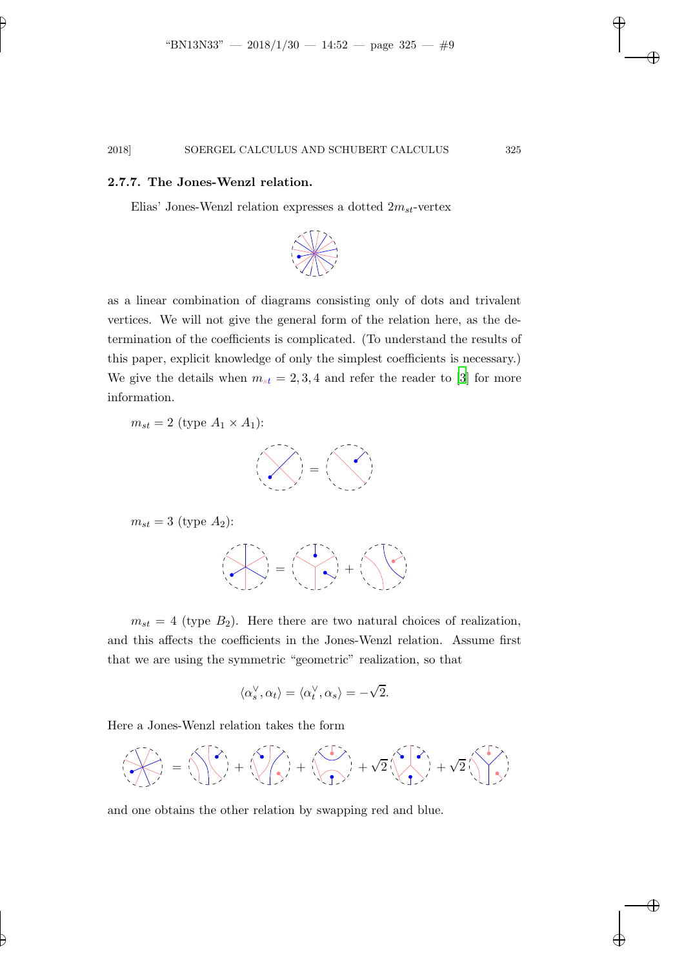#### 2.7.7. The Jones-Wenzl relation.

Elias' Jones-Wenzl relation expresses a dotted  $2m_{st}$ -vertex



as a linear combination of diagrams consisting only of dots and trivalent vertices. We will not give the general form of the relation here, as the determination of the coefficients is complicated. (To understand the results of this paper, explicit knowledge of only the simplest coefficients is necessary.) We give the details when  $m_{st} = 2, 3, 4$  and refer the reader to [\[3](#page-32-3)] for more information.

 $m_{st} = 2$  (type  $A_1 \times A_1$ ):



$$
m_{st} = 3 \text{ (type } A_2):
$$

$$
\left(\frac{1}{\sqrt{2}}\right)^{2} = \left(\frac{1}{\sqrt{2}}\right)^{2} + \left(\frac{1}{\sqrt{2}}\right)^{2}
$$

 $m_{st} = 4$  (type  $B_2$ ). Here there are two natural choices of realization, and this affects the coefficients in the Jones-Wenzl relation. Assume first that we are using the symmetric "geometric" realization, so that

$$
\langle \alpha_s^{\vee}, \alpha_t \rangle = \langle \alpha_t^{\vee}, \alpha_s \rangle = -\sqrt{2}.
$$

Here a Jones-Wenzl relation takes the form



and one obtains the other relation by swapping red and blue.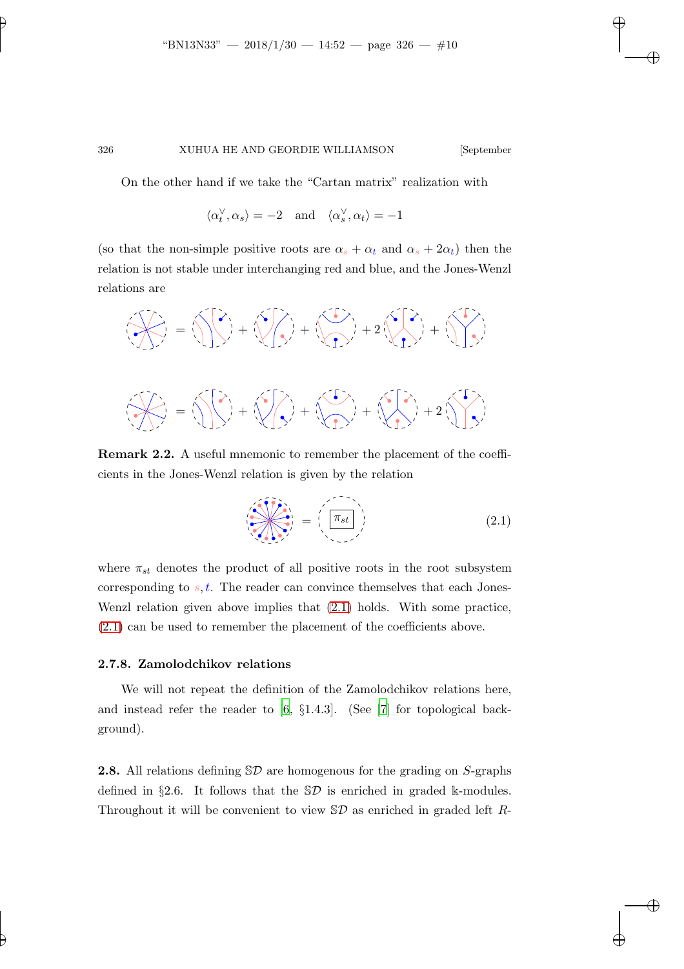On the other hand if we take the "Cartan matrix" realization with

$$
\langle \alpha_t^{\vee}, \alpha_s \rangle = -2
$$
 and  $\langle \alpha_s^{\vee}, \alpha_t \rangle = -1$ 

(so that the non-simple positive roots are  $\alpha_s + \alpha_t$  and  $\alpha_s + 2\alpha_t$ ) then the relation is not stable under interchanging red and blue, and the Jones-Wenzl relations are



Remark 2.2. A useful mnemonic to remember the placement of the coefficients in the Jones-Wenzl relation is given by the relation

<span id="page-9-0"></span>
$$
\left(\frac{\pi_{st}}{\pi_{st}}\right) = \left(\frac{\pi_{st}}{\pi_{st}}\right) \tag{2.1}
$$

where  $\pi_{st}$  denotes the product of all positive roots in the root subsystem corresponding to  $s, t$ . The reader can convince themselves that each Jones-Wenzl relation given above implies that [\(2.1\)](#page-9-0) holds. With some practice, [\(2.1\)](#page-9-0) can be used to remember the placement of the coefficients above.

#### 2.7.8. Zamolodchikov relations

We will not repeat the definition of the Zamolodchikov relations here, and instead refer the reader to  $[6, §1.4.3]$ . (See [\[7](#page-32-10)] for topological background).

**2.8.** All relations defining  $\mathcal{D}$  are homogenous for the grading on S-graphs defined in §2.6. It follows that the  $\mathcal{D}$  is enriched in graded k-modules. Throughout it will be convenient to view  $\mathcal{D}$  as enriched in graded left R-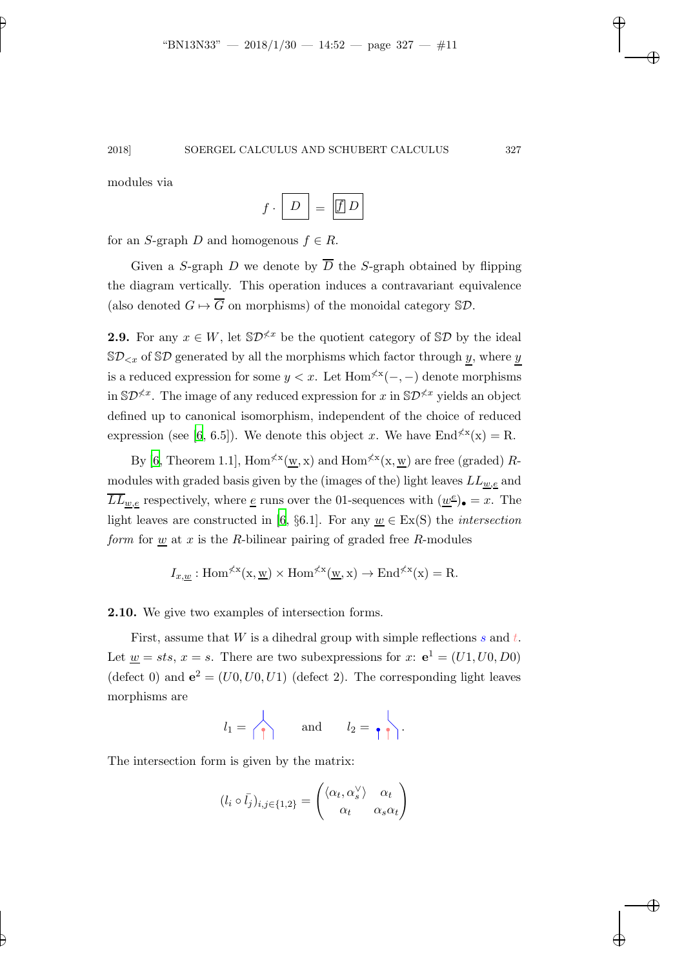modules via

$$
f \cdot \boxed{D} = \boxed{f \mid D}
$$

for an S-graph D and homogenous  $f \in R$ .

Given a S-graph D we denote by  $\overline{D}$  the S-graph obtained by flipping the diagram vertically. This operation induces a contravariant equivalence (also denoted  $G \mapsto \overline{G}$  on morphisms) of the monoidal category  $\mathcal{SD}$ .

**2.9.** For any  $x \in W$ , let  $\mathbb{S}D^{\nless k}$  be the quotient category of  $\mathbb{S}D$  by the ideal  $\mathbb{S}\mathcal{D}_{< x}$  of  $\mathbb{S}\mathcal{D}$  generated by all the morphisms which factor through y, where y is a reduced expression for some  $y < x$ . Let  $\text{Hom}^{\nless}(-,-)$  denote morphisms in  $\mathbb{S}\mathcal{D}^{\nless x}$ . The image of any reduced expression for x in  $\mathbb{S}\mathcal{D}^{\nless x}$  yields an object defined up to canonical isomorphism, independent of the choice of reduced expression (see [\[6](#page-32-4), 6.5]). We denote this object x. We have  $\text{End}^{\nless}(\mathbf{x}) = \mathbf{R}$ .

By [\[6](#page-32-4), Theorem 1.1],  $\text{Hom}^{\not\leq x}(\underline{w},x)$  and  $\text{Hom}^{\not\leq x}(x,\underline{w})$  are free (graded) Rmodules with graded basis given by the (images of the) light leaves  $LL_{w,e}$  and  $\overline{LL}_{\underline{w},\underline{e}}$  respectively, where <u>e</u> runs over the 01-sequences with  $(\underline{w}^{\underline{e}})_{\bullet} = x$ . The light leaves are constructed in [\[6](#page-32-4), §6.1]. For any  $w \in Ex(S)$  the *intersection form* for w at x is the R-bilinear pairing of graded free R-modules

$$
I_{x,\underline{w}}
$$
: Hom <sup>$\angle$ x</sup> $(x,\underline{w})$  × Hom <sup>$\angle$ x</sup> $(\underline{w},x)$  → End <sup>$\angle$ x</sup> $(x)$  = R.

2.10. We give two examples of intersection forms.

First, assume that  $W$  is a dihedral group with simple reflections  $s$  and  $t$ . Let  $\underline{w} = sts, x = s$ . There are two subexpressions for  $x: e<sup>1</sup> = (U1, U0, D0)$ (defect 0) and  $e^2 = (U0, U0, U1)$  (defect 2). The corresponding light leaves morphisms are

$$
l_1 = \left\langle \begin{array}{ccc} \\ \uparrow \end{array} \right\rangle
$$
 and  $l_2 = \begin{array}{ccc} \\ \uparrow \end{array} \right\rangle$ .

The intersection form is given by the matrix:

$$
(l_i \circ \bar{l}_j)_{i,j \in \{1,2\}} = \begin{pmatrix} \langle \alpha_t, \alpha_s^{\vee} \rangle & \alpha_t \\ \alpha_t & \alpha_s \alpha_t \end{pmatrix}
$$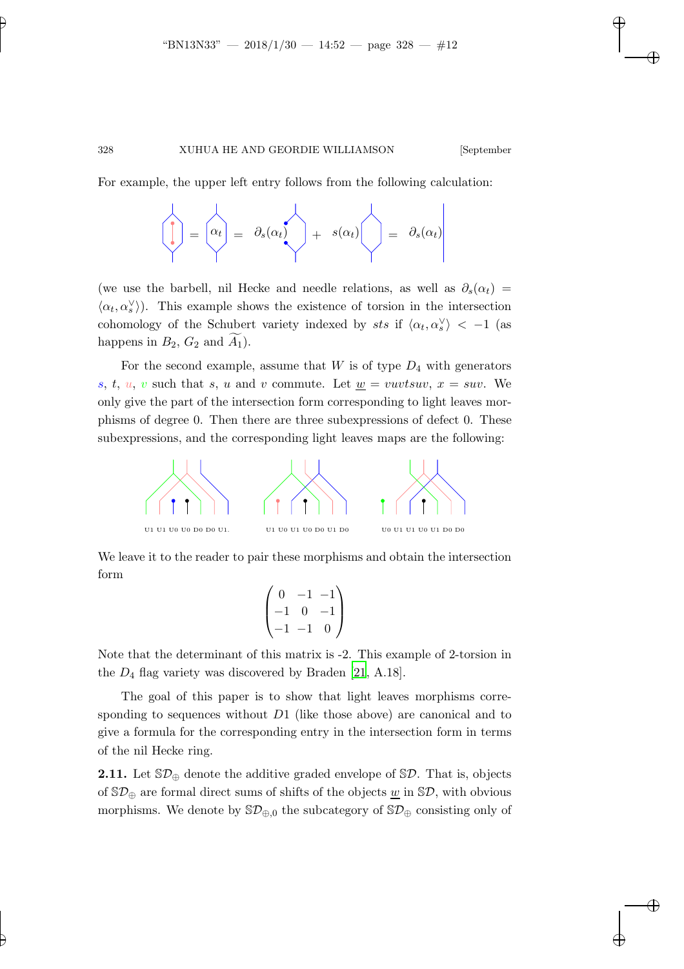For example, the upper left entry follows from the following calculation:

$$
\left(\begin{matrix} \cdot & \cdot & \cdot \\ \cdot & \cdot & \cdot \\ \cdot & \cdot & \cdot \end{matrix}\right) = \left(\begin{matrix} \alpha_t & \cdot & \cdot \\ \alpha_t & \cdot & \cdot \\ \cdot & \cdot & \cdot \end{matrix}\right) = \left(\begin{matrix} \cdot & \cdot & \cdot \\ \cdot & \cdot & \cdot \\ \cdot & \cdot & \cdot \end{matrix}\right) = \left(\begin{matrix} \cdot & \cdot & \cdot \\ \cdot & \cdot & \cdot \\ \cdot & \cdot & \cdot \end{matrix}\right)
$$

(we use the barbell, nil Hecke and needle relations, as well as  $\partial_s(\alpha_t)$  =  $\langle \alpha_t, \alpha_s^{\vee} \rangle$ ). This example shows the existence of torsion in the intersection cohomology of the Schubert variety indexed by sts if  $\langle \alpha_t, \alpha_s^{\vee} \rangle$  < -1 (as happens in  $B_2$ ,  $G_2$  and  $A_1$ ).

For the second example, assume that  $W$  is of type  $D_4$  with generators s, t, u, v such that s, u and v commute. Let  $\underline{w} = vuvtsuv$ ,  $x = suv$ . We only give the part of the intersection form corresponding to light leaves morphisms of degree 0. Then there are three subexpressions of defect 0. These subexpressions, and the corresponding light leaves maps are the following:



We leave it to the reader to pair these morphisms and obtain the intersection form

$$
\begin{pmatrix} 0 & -1 & -1 \\ -1 & 0 & -1 \\ -1 & -1 & 0 \end{pmatrix}
$$

Note that the determinant of this matrix is -2. This example of 2-torsion in the  $D_4$  flag variety was discovered by Braden [\[21](#page-33-4), A.18].

The goal of this paper is to show that light leaves morphisms corresponding to sequences without  $D_1$  (like those above) are canonical and to give a formula for the corresponding entry in the intersection form in terms of the nil Hecke ring.

**2.11.** Let  $\mathbb{S}\mathcal{D}_{\oplus}$  denote the additive graded envelope of  $\mathbb{S}\mathcal{D}$ . That is, objects of  $\mathbb{S}\mathcal{D}_{\oplus}$  are formal direct sums of shifts of the objects w in  $\mathbb{S}\mathcal{D}$ , with obvious morphisms. We denote by  $\mathbb{S}\mathcal{D}_{\oplus,0}$  the subcategory of  $\mathbb{S}\mathcal{D}_{\oplus}$  consisting only of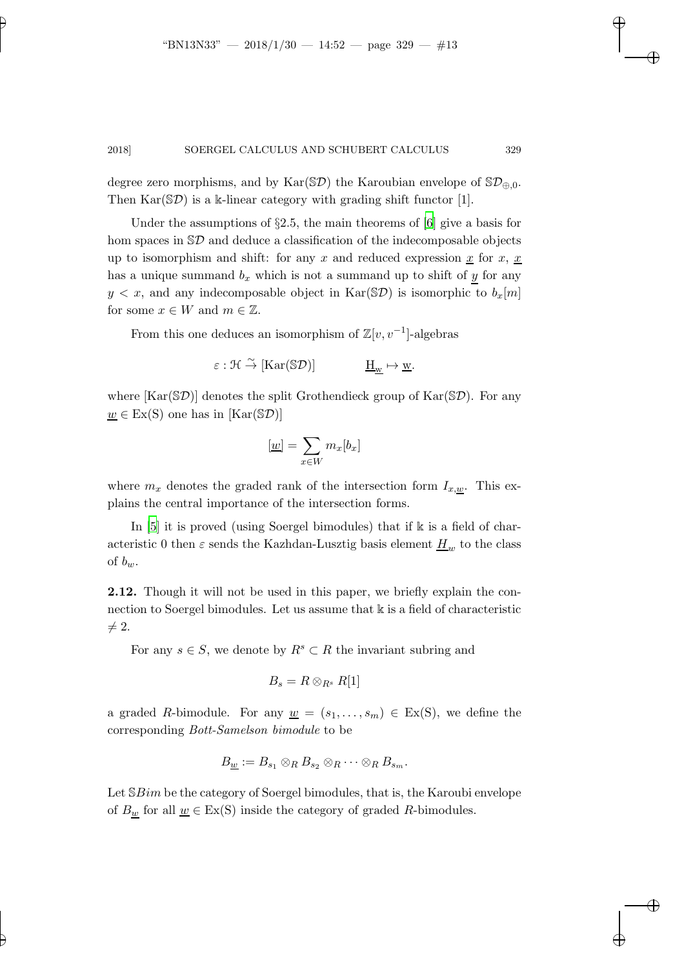degree zero morphisms, and by Kar( $\mathcal{SD}$ ) the Karoubian envelope of  $\mathcal{SD}_{\oplus,0}$ . Then  $\text{Kar}(\mathbb{S}\mathcal{D})$  is a k-linear category with grading shift functor [1].

Under the assumptions of  $\S2.5$ , the main theorems of [\[6](#page-32-4)] give a basis for hom spaces in  $\mathcal{SD}$  and deduce a classification of the indecomposable objects up to isomorphism and shift: for any x and reduced expression  $\underline{x}$  for  $x, \underline{x}$ has a unique summand  $b_x$  which is not a summand up to shift of y for any  $y < x$ , and any indecomposable object in Kar(SD) is isomorphic to  $b_x[m]$ for some  $x \in W$  and  $m \in \mathbb{Z}$ .

From this one deduces an isomorphism of  $\mathbb{Z}[v, v^{-1}]$ -algebras

$$
\varepsilon: \mathfrak{H} \stackrel{\sim}{\to} [\mathrm{Kar}(\mathbb{S}\mathcal{D})] \qquad \qquad \underline{\mathrm{H}}_{\underline{w}} \mapsto \underline{w}.
$$

where  $[\text{Kar}(\mathbb{S}\mathcal{D})]$  denotes the split Grothendieck group of  $\text{Kar}(\mathbb{S}\mathcal{D})$ . For any  $w \in Ex(S)$  one has in  $[Kar(SD)]$ 

$$
[\underline{w}] = \sum_{x \in W} m_x [b_x]
$$

where  $m_x$  denotes the graded rank of the intersection form  $I_{x,w}$ . This explains the central importance of the intersection forms.

In [\[5\]](#page-32-11) it is proved (using Soergel bimodules) that if k is a field of characteristic 0 then  $\varepsilon$  sends the Kazhdan-Lusztig basis element  $H_w$  to the class of  $b_w$ .

2.12. Though it will not be used in this paper, we briefly explain the connection to Soergel bimodules. Let us assume that  $\Bbbk$  is a field of characteristic  $\neq 2.$ 

For any  $s \in S$ , we denote by  $R^s \subset R$  the invariant subring and

$$
B_s = R \otimes_{R^s} R[1]
$$

a graded R-bimodule. For any  $\underline{w} = (s_1, \ldots, s_m) \in Ex(S)$ , we define the corresponding *Bott-Samelson bimodule* to be

$$
B_{\underline{w}} := B_{s_1} \otimes_R B_{s_2} \otimes_R \cdots \otimes_R B_{s_m}.
$$

Let  $\mathbb{S}Bim$  be the category of Soergel bimodules, that is, the Karoubi envelope of  $B_{\underline{w}}$  for all  $\underline{w} \in Ex(S)$  inside the category of graded R-bimodules.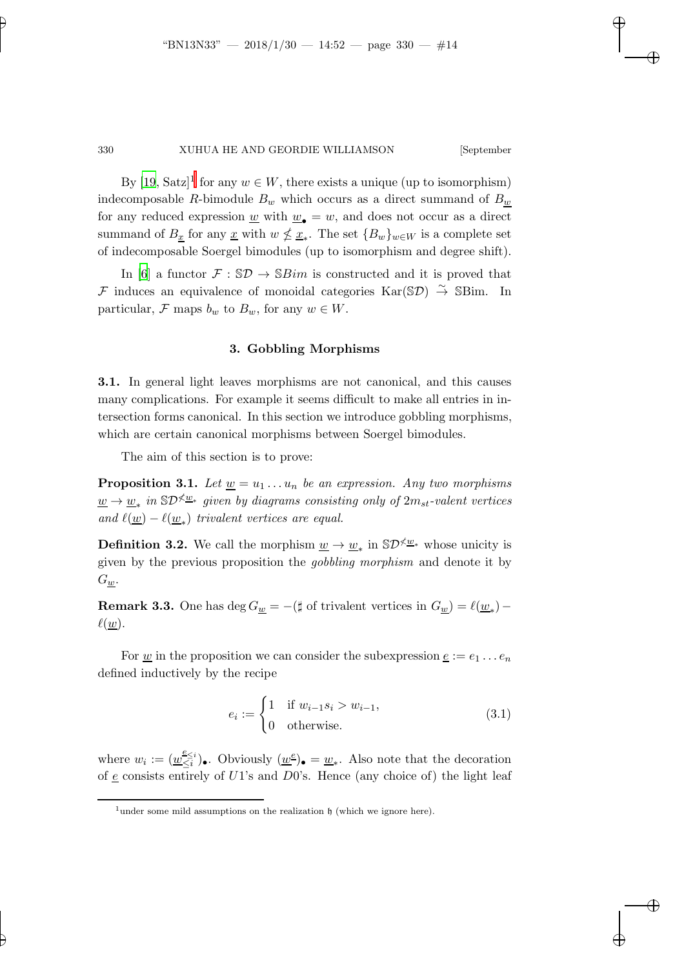By  $[19, Satz]^1$  $[19, Satz]^1$  $[19, Satz]^1$  for any  $w \in W$ , there exists a unique (up to isomorphism) indecomposable R-bimodule  $B_w$  which occurs as a direct summand of  $B_w$ for any reduced expression  $\underline{w}$  with  $\underline{w}_\bullet = w$ , and does not occur as a direct summand of  $B_{\underline{x}}$  for any  $\underline{x}$  with  $w \nleq \underline{x}_*$ . The set  $\{B_w\}_{w \in W}$  is a complete set of indecomposable Soergel bimodules (up to isomorphism and degree shift).

In [\[6\]](#page-32-4) a functor  $\mathcal{F} : \mathbb{S}\mathcal{D} \to \mathbb{S}$  *Bim* is constructed and it is proved that  $\mathcal F$  induces an equivalence of monoidal categories Kar(SD)  $\stackrel{\sim}{\to}$  SBim. In particular,  $\mathcal F$  maps  $b_w$  to  $B_w$ , for any  $w \in W$ .

#### 3. Gobbling Morphisms

3.1. In general light leaves morphisms are not canonical, and this causes many complications. For example it seems difficult to make all entries in intersection forms canonical. In this section we introduce gobbling morphisms, which are certain canonical morphisms between Soergel bimodules.

<span id="page-13-1"></span>The aim of this section is to prove:

**Proposition 3.1.** Let  $\underline{w} = u_1 \dots u_n$  be an expression. Any two morphisms  $\underline{w} \rightarrow \underline{w}_*$  *in* SD<sup>≮ $\underline{w}_*$  *given by diagrams consisting only of* 2*m<sub>st</sub>*-valent vertices</sup> *and*  $\ell(\underline{w}) - \ell(\underline{w}_*)$  *trivalent vertices are equal.* 

**Definition 3.2.** We call the morphism  $\underline{w} \to \underline{w}_*$  in  $\mathbb{S}D^{\nless} \underline{w}_*$  whose unicity is given by the previous proposition the *gobbling morphism* and denote it by  $G_{\underline{w}}$ .

**Remark 3.3.** One has  $\deg G_{\underline{w}} = -(\sharp \text{ of trivalent vertices in } G_{\underline{w}}) = \ell(\underline{w}_*) - \ell(\sharp \underline{w}_*)$  $\ell(\underline{w})$ .

For <u>w</u> in the proposition we can consider the subexpression  $\underline{e} := e_1 \dots e_n$ defined inductively by the recipe

<span id="page-13-2"></span>
$$
e_i := \begin{cases} 1 & \text{if } w_{i-1}s_i > w_{i-1}, \\ 0 & \text{otherwise.} \end{cases}
$$
 (3.1)

where  $w_i := (\underline{w}_{\leq i}^{\underline{e}_{\leq i}})$  $\frac{e}{\leq i}$ , Obviously  $(\underline{w}^{\underline{e}})_\bullet = \underline{w}_*$ . Also note that the decoration of e consists entirely of  $U_1$ 's and  $D_0$ 's. Hence (any choice of) the light leaf

<span id="page-13-0"></span><sup>&</sup>lt;sup>1</sup>under some mild assumptions on the realization  $\mathfrak h$  (which we ignore here).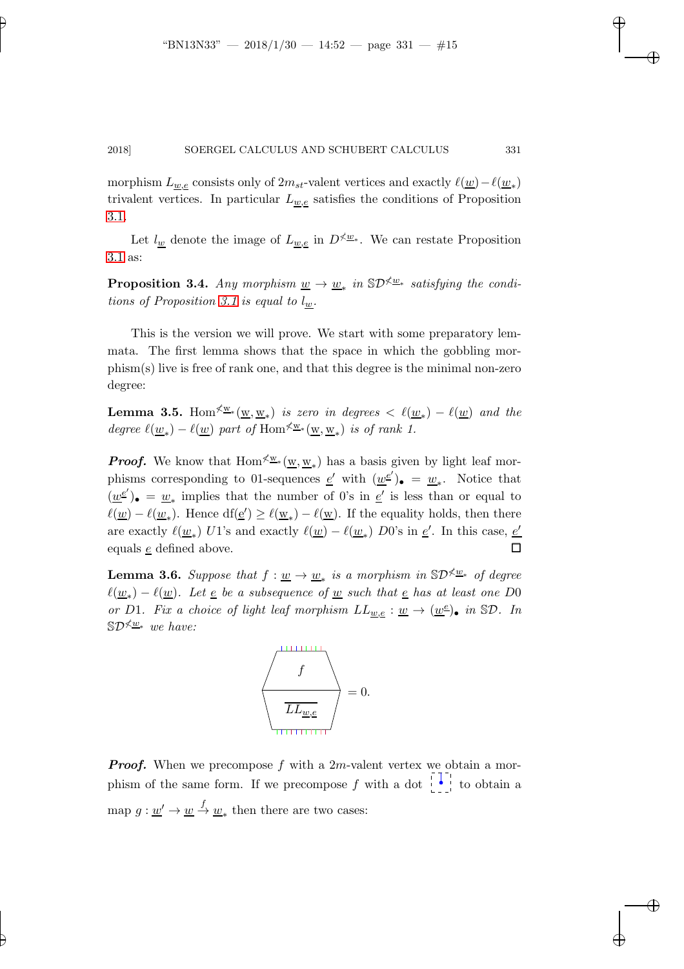morphism  $L_{\underline{w},\underline{e}}$  consists only of  $2m_{st}$ -valent vertices and exactly  $\ell(\underline{w}) - \ell(\underline{w}_*)$ trivalent vertices. In particular  $L_{w,e}$  satisfies the conditions of Proposition [3.1.](#page-13-1)

<span id="page-14-1"></span>Let  $l_w$  denote the image of  $L_{w,e}$  in  $D \nless \underline{w}_*$ . We can restate Proposition [3.1](#page-13-1) as:

**Proposition 3.4.** *Any morphism*  $\underline{w} \to \underline{w}_*$  *in*  $\mathbb{S}D^{\nless} \underline{w}_*$  *satisfying the conditions of Proposition* [3.1](#page-13-1) *is equal to*  $l_w$ *.* 

This is the version we will prove. We start with some preparatory lemmata. The first lemma shows that the space in which the gobbling morphism(s) live is free of rank one, and that this degree is the minimal non-zero degree:

**Lemma 3.5.** Hom<sup> $\nless$ *w*\*( $\underline{w}, \underline{w}_*$ ) *is zero in degrees* <  $\ell(\underline{w}_*) - \ell(\underline{w})$  *and the*</sup> *degree*  $\ell(\underline{w}_*) - \ell(\underline{w})$  *part of* Hom<sup> $\nless$ </sup><sup>w</sup>\* $(\underline{w}, \underline{w}_*)$  *is of rank 1.* 

**Proof.** We know that  $Hom^{\measuredangle w_*}(\underline{w}, \underline{w}_*)$  has a basis given by light leaf morphisms corresponding to 01-sequences  $\underline{e}'$  with  $(\underline{w}^{\underline{e}'})_{\bullet} = \underline{w}_{*}$ . Notice that  $(\underline{w}^{\underline{e}^{\prime}})_{\bullet} = \underline{w}_{*}$  implies that the number of 0's in  $\underline{e}^{\prime}$  is less than or equal to  $\ell(\underline{w}) - \ell(\underline{w}_*)$ . Hence  $df(\underline{e}') \geq \ell(\underline{w}_*) - \ell(\underline{w})$ . If the equality holds, then there are exactly  $\ell(\underline{w}_*)$  U1's and exactly  $\ell(\underline{w}) - \ell(\underline{w}_*)$  D0's in  $\underline{e}'$ . In this case,  $\underline{e}'$ equals  $e$  defined above.  $\Box$ 

<span id="page-14-0"></span>**Lemma 3.6.** *Suppose that*  $f: \underline{w} \to \underline{w}_*$  *is a morphism in*  $\mathbb{S}D^{\measuredangle \underline{w}_*}$  *of degree*  $\ell(\underline{w}_*) - \ell(\underline{w})$ . Let <u>e</u> be a subsequence of <u>w</u> such that <u>e</u> has at least one D0 *or* D1*. Fix a choice of light leaf morphism*  $LL_{\underline{w},\underline{e}} : \underline{w} \to (\underline{w}^{\underline{e}})_{\bullet}$  in  $\mathbb{S}\mathcal{D}$ *. In* SD<sup>≮<u>w</u>∗</sup> we have:



**Proof.** When we precompose f with a 2m-valent vertex we obtain a morphism of the same form. If we precompose f with a dot  $\begin{bmatrix} 1 \\ 0 \end{bmatrix}$  to obtain a map  $g: \underline{w}' \to \underline{w} \stackrel{f}{\to} \underline{w}_*$  then there are two cases: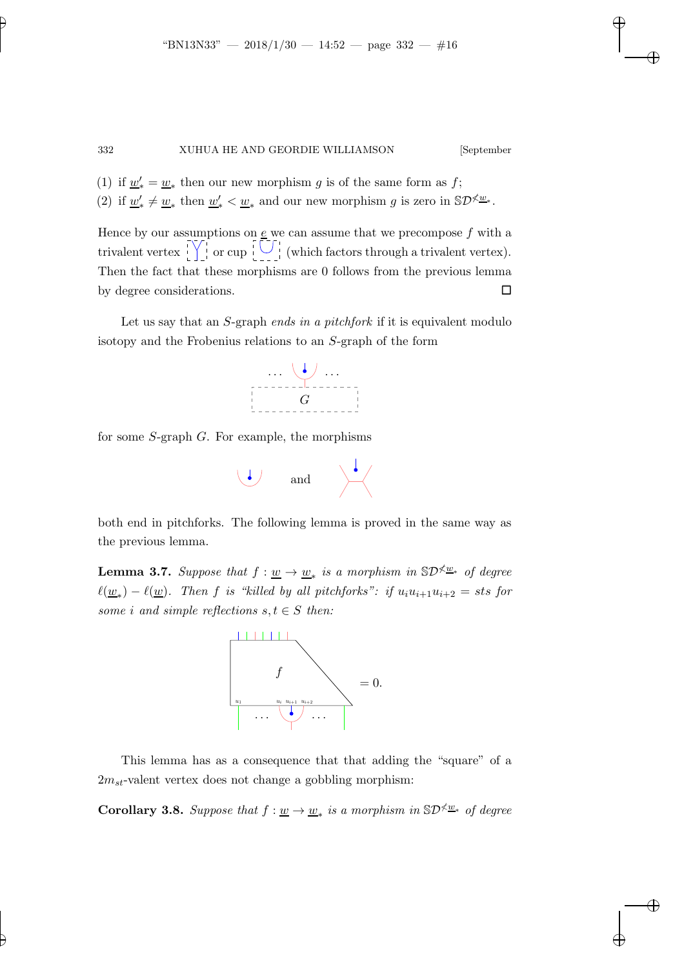- (1) if  $\underline{w}'_* = \underline{w}_*$  then our new morphism g is of the same form as f;
- (2) if  $\underline{w}'_* \neq \underline{w}_*$  then  $\underline{w}'_* < \underline{w}_*$  and our new morphism g is zero in  $\mathbb{S}D^{\nless} \underline{w}_*$ .

Hence by our assumptions on  $\underline{e}$  we can assume that we precompose  $f$  with a trivalent vertex  $\left[\begin{array}{c}\n\sqrt{1} \\
\sqrt{1}\n\end{array}\right]$  or cup  $\left[\begin{array}{c}\n\sqrt{1} \\
\sqrt{1}\n\end{array}\right]$  (which factors through a trivalent vertex). Then the fact that these morphisms are 0 follows from the previous lemma by degree considerations.

Let us say that an S-graph *ends in a pitchfork* if it is equivalent modulo isotopy and the Frobenius relations to an S-graph of the form



for some S-graph G. For example, the morphisms



<span id="page-15-0"></span>both end in pitchforks. The following lemma is proved in the same way as the previous lemma.

**Lemma 3.7.** *Suppose that*  $f: \underline{w} \to \underline{w}_*$  *is a morphism in*  $\mathbb{S}D^{\measuredangle \underline{w}_*}$  *of degree*  $\ell(\underline{w}_*) - \ell(\underline{w})$ . Then f is "killed by all pitchforks": if  $u_iu_{i+1}u_{i+2} =$  sts for *some i* and *simple reflections*  $s, t \in S$  *then:* 



This lemma has as a consequence that that adding the "square" of a  $2m_{st}$ -valent vertex does not change a gobbling morphism:

**Corollary 3.8.** *Suppose that*  $f: \underline{w} \to \underline{w}_*$  *is a morphism in*  $\mathbb{S}D^{\times \underline{w}_*}$  *of degree*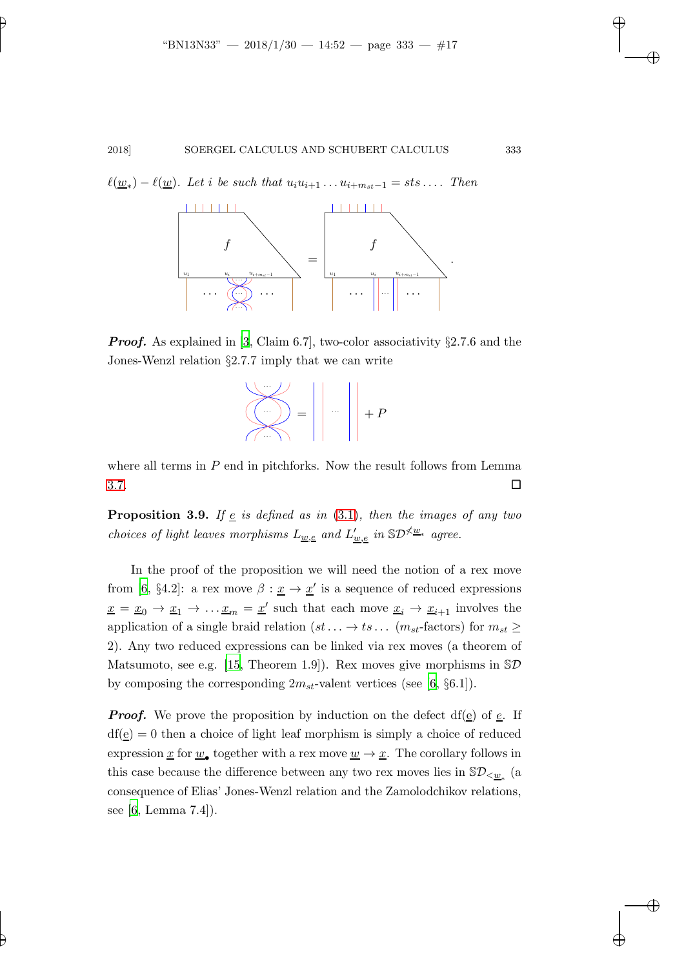$\ell(\underline{w}_*) - \ell(\underline{w})$ . Let *i* be such that  $u_i u_{i+1} \ldots u_{i+m_{st}-1} = sts \ldots$ . Then



**Proof.** As explained in [\[3,](#page-32-3) Claim 6.7], two-color associativity  $\S 2.7.6$  and the Jones-Wenzl relation §2.7.7 imply that we can write



<span id="page-16-0"></span>where all terms in  $P$  end in pitchforks. Now the result follows from Lemma  $3.7.$ 

**Proposition 3.9.** *If*  $\underline{e}$  *is defined as in* [\(3.1\)](#page-13-2)*, then the images of any two choices of light leaves morphisms*  $L_{\underline{w}, \underline{e}}$  and  $L'_{\underline{w}, \underline{e}}$  in  $\mathbb{S}D^{\measuredangle \underline{w}_*}$  agree.

In the proof of the proposition we will need the notion of a rex move from [\[6,](#page-32-4) §4.2]: a rex move  $\beta : \underline{x} \to \underline{x}'$  is a sequence of reduced expressions  $\underline{x} = \underline{x}_0 \to \underline{x}_1 \to \dots \underline{x}_m = \underline{x}'$  such that each move  $\underline{x}_i \to \underline{x}_{i+1}$  involves the application of a single braid relation  $(st \dots \rightarrow ts \dots (m_{st}\text{-factors})$  for  $m_{st} \ge$ 2). Any two reduced expressions can be linked via rex moves (a theorem of Matsumoto, see e.g. [\[15](#page-33-6), Theorem 1.9]). Rex moves give morphisms in  $\mathcal{SD}$ by composing the corresponding  $2m_{st}$ -valent vertices (see [\[6](#page-32-4), §6.1]).

**Proof.** We prove the proposition by induction on the defect df(e) of  $e$ . If  $df(\underline{e}) = 0$  then a choice of light leaf morphism is simply a choice of reduced expression  $\underline{x}$  for  $\underline{w}_{\bullet}$  together with a rex move  $\underline{w} \to \underline{x}$ . The corollary follows in this case because the difference between any two rex moves lies in  $\mathbb{S}\mathcal{D}_{<\underline{w}_*}$  (a consequence of Elias' Jones-Wenzl relation and the Zamolodchikov relations, see [\[6](#page-32-4), Lemma 7.4]).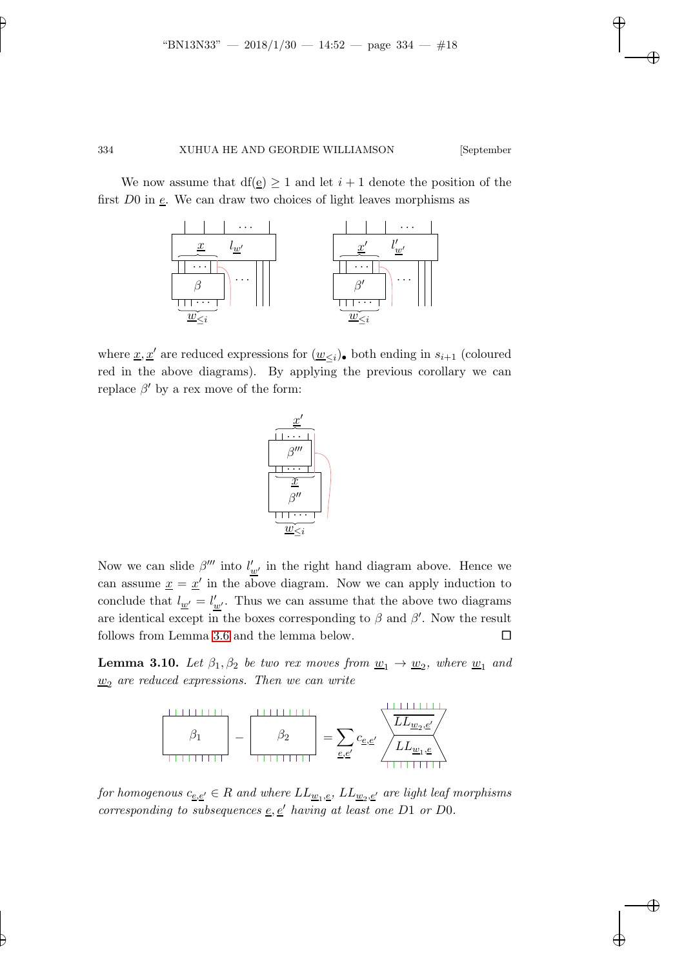We now assume that  $df(\underline{e}) \geq 1$  and let  $i + 1$  denote the position of the first  $D0$  in  $\underline{e}$ . We can draw two choices of light leaves morphisms as



where <u> $x, x'$ </u> are reduced expressions for  $(\underline{w}_{\leq i})_$  both ending in  $s_{i+1}$  (coloured red in the above diagrams). By applying the previous corollary we can replace  $\beta'$  by a rex move of the form:



Now we can slide  $\beta'''$  into  $l'_{\underline{w'}}$  in the right hand diagram above. Hence we can assume  $x = x'$  in the above diagram. Now we can apply induction to conclude that  $l_{\underline{w'}} = l'_{\underline{w'}}$ . Thus we can assume that the above two diagrams are identical except in the boxes corresponding to  $\beta$  and  $\beta'$ . Now the result follows from Lemma [3.6](#page-14-0) and the lemma below.

**Lemma 3.10.** Let  $\beta_1, \beta_2$  be two rex moves from  $\underline{w}_1 \rightarrow \underline{w}_2$ , where  $\underline{w}_1$  and  $w_2$  are reduced expressions. Then we can write



 $for\;homogenous\;c_{\underline{e},\underline{e'}}\in R\; and\; where\; LL_{\underline{w}_1,\underline{e}},\; LL_{\underline{w}_2,\underline{e'}}\; are\; light\;leaf\; morphisms$ *corresponding to subsequences*  $\underline{e}, \underline{e}'$  *having at least one*  $D1$  *or*  $D0$ *.*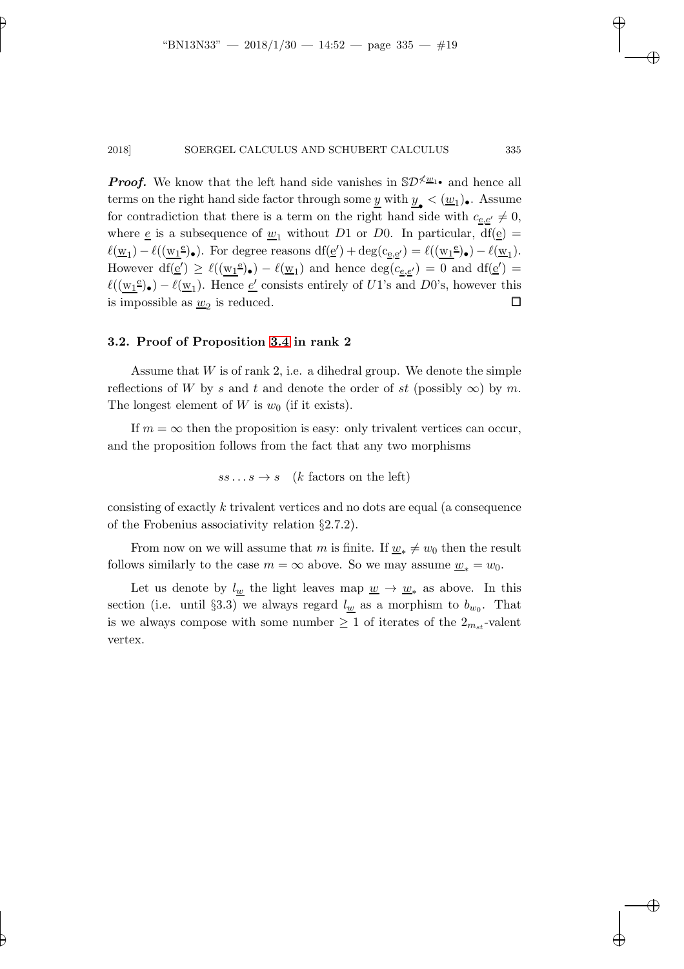**Proof.** We know that the left hand side vanishes in  $\mathcal{SD}^{\times} \mathcal{Q}_1$  and hence all terms on the right hand side factor through some  $\underline{y}$  with  $\underline{y}_{\bullet} < (\underline{w}_1)_{\bullet}$ . Assume for contradiction that there is a term on the right hand side with  $c_{e,e'} \neq 0$ , where <u>e</u> is a subsequence of  $\underline{w}_1$  without D1 or D0. In particular, df(<u>e)</u> =  $\ell(\underline{w}_1) - \ell((\underline{w}_1^e)_{\bullet})$ . For degree reasons  $df(\underline{e}') + deg(c_{\underline{e},\underline{e}'}) = \ell((\underline{w}_1^e)_{\bullet}) - \ell(\underline{w}_1)$ . However  $df(\underline{e}') \geq \ell((\underline{w_1}^e) \bullet) - \ell(\underline{w}_1)$  and hence  $deg(c_{\underline{e},\underline{e}'}) = 0$  and  $df(\underline{e}') =$  $\ell((\underline{w_1}^e) \bullet) - \ell(\underline{w}_1)$ . Hence <u>e'</u> consists entirely of U1's and D0's, however this is impossible as  $\underline{w}_2$  is reduced.

#### 3.2. Proof of Proposition [3.4](#page-14-1) in rank 2

Assume that  $W$  is of rank 2, i.e. a dihedral group. We denote the simple reflections of W by s and t and denote the order of st (possibly  $\infty$ ) by m. The longest element of W is  $w_0$  (if it exists).

If  $m = \infty$  then the proposition is easy: only trivalent vertices can occur, and the proposition follows from the fact that any two morphisms

$$
ss...s \to s \quad (k \text{ factors on the left})
$$

consisting of exactly k trivalent vertices and no dots are equal (a consequence of the Frobenius associativity relation §2.7.2).

From now on we will assume that m is finite. If  $w_* \neq w_0$  then the result follows similarly to the case  $m = \infty$  above. So we may assume  $\underline{w}_* = w_0$ .

Let us denote by  $l_{\underline{w}}$  the light leaves map  $\underline{w} \rightarrow \underline{w}_*$  as above. In this section (i.e. until §3.3) we always regard  $l_{\underline{w}}$  as a morphism to  $b_{w_0}$ . That is we always compose with some number  $\geq 1$  of iterates of the  $2_{m_{st}}$ -valent vertex.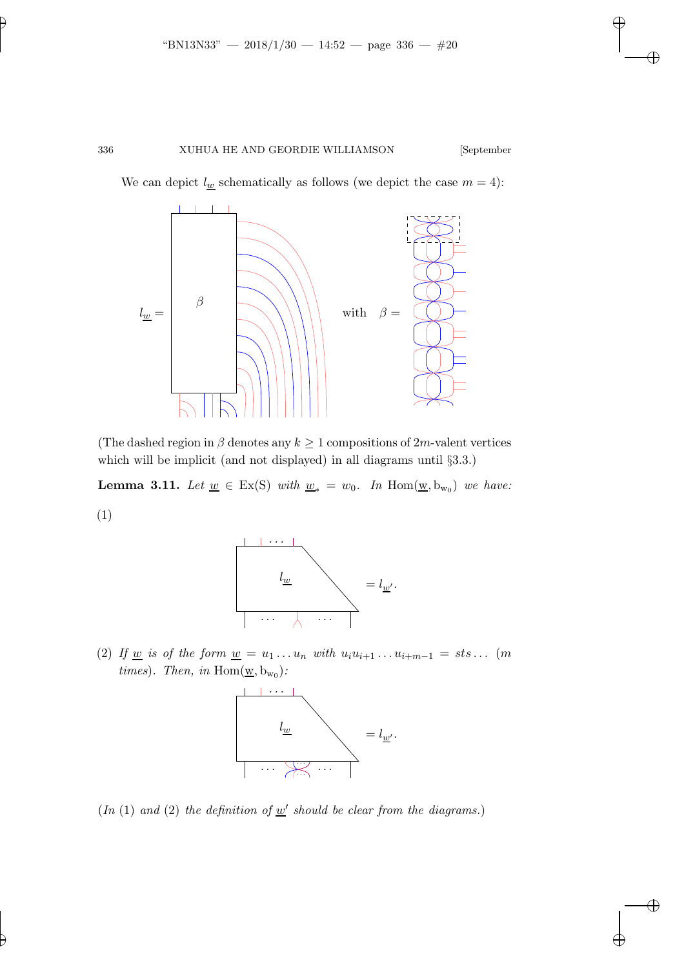We can depict  $l_{\underline{w}}$  schematically as follows (we depict the case  $m = 4$ ):



<span id="page-19-0"></span>(The dashed region in  $\beta$  denotes any  $k \geq 1$  compositions of 2m-valent vertices which will be implicit (and not displayed) in all diagrams until §3.3.)

**Lemma 3.11.** *Let*  $\underline{w} \in Ex(S)$  *with*  $\underline{w}_* = w_0$ . *In* Hom( $\underline{w}$ ,  $b_{w_0}$ ) *we have:* (1)



(2) If <u>w</u> is of the form  $\underline{w} = u_1 \dots u_n$  with  $u_i u_{i+1} \dots u_{i+m-1} = s \cdot s \dots$  (m *times*)*. Then, in*  $Hom(\underline{w}, b_{w_0})$ *:* 



 $(In (1) and (2) the definition of  $w'$  should be clear from the diagrams.)$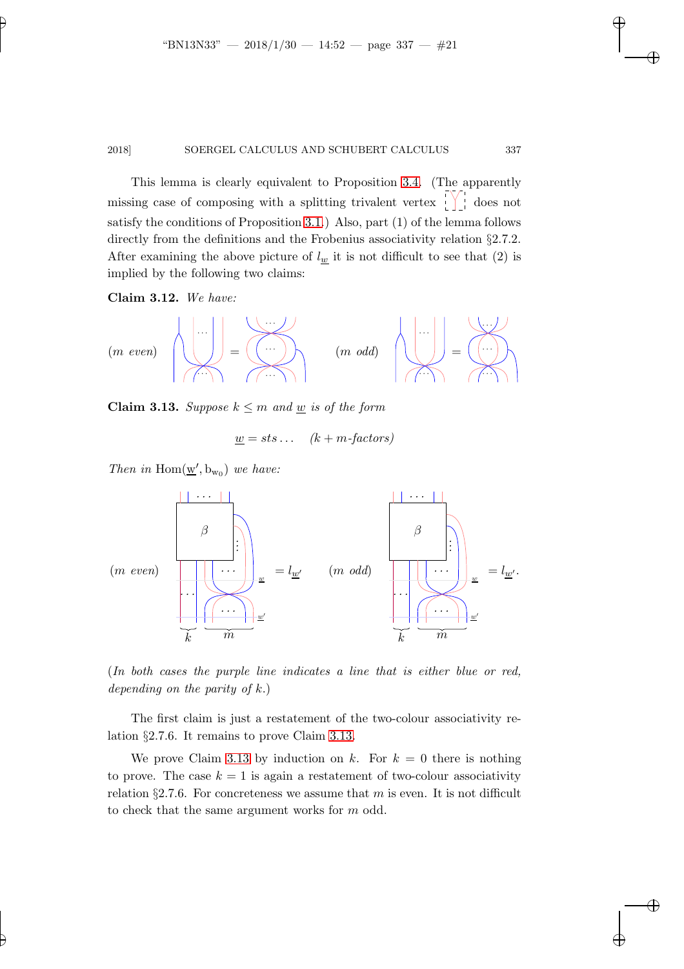This lemma is clearly equivalent to Proposition [3.4.](#page-14-1) (The apparently missing case of composing with a splitting trivalent vertex  $\frac{1}{2}$  does not satisfy the conditions of Proposition [3.1.](#page-13-1)) Also, part (1) of the lemma follows directly from the definitions and the Frobenius associativity relation  $\S 2.7.2$ . After examining the above picture of  $l_{w}$  it is not difficult to see that (2) is implied by the following two claims:

Claim 3.12. *We have:*

$$
(m \text{ even}) \quad \left(\bigcup_{i=1}^{n} \left| \bigcup_{i=1}^{n} \left| \bigcup_{i=1}^{n} \left| \bigcup_{i=1}^{n} \left| \bigcup_{i=1}^{n} \left| \bigcup_{i=1}^{n} \left| \bigcup_{i=1}^{n} \left| \bigcup_{i=1}^{n} \left| \bigcup_{i=1}^{n} \left| \bigcup_{i=1}^{n} \left| \bigcup_{i=1}^{n} \left| \bigcup_{i=1}^{n} \left| \bigcup_{i=1}^{n} \left| \bigcup_{i=1}^{n} \left| \bigcup_{i=1}^{n} \left| \bigcup_{i=1}^{n} \left| \bigcup_{i=1}^{n} \left| \bigcup_{i=1}^{n} \left| \bigcup_{i=1}^{n} \left| \bigcup_{i=1}^{n} \left| \bigcup_{i=1}^{n} \left| \bigcup_{i=1}^{n} \left| \bigcup_{i=1}^{n} \left| \bigcup_{i=1}^{n} \left| \bigcup_{i=1}^{n} \left| \bigcup_{i=1}^{n} \left| \bigcup_{i=1}^{n} \left| \bigcup_{i=1}^{n} \left| \bigcup_{i=1}^{n} \left| \bigcup_{i=1}^{n} \left| \bigcup_{i=1}^{n} \left| \bigcup_{i=1}^{n} \left| \bigcup_{i=1}^{n} \left| \bigcup_{i=1}^{n} \left| \bigcup_{i=1}^{n} \left| \bigcup_{i=1}^{n} \left| \bigcup_{i=1}^{n} \left| \bigcup_{i=1}^{n} \left| \bigcup_{i=1}^{n} \left| \bigcup_{i=1}^{n} \left| \bigcap_{i=1}^{n} \left| \bigcup_{i=1}^{n} \left| \bigcap_{i=1}^{n} \left| \bigcap_{i=1}^{n} \left| \bigcap_{i=1}^{n} \left| \bigcap_{i=1}^{n} \left| \bigcap_{i=1}^{n} \left| \bigcap_{i=1}^{n} \left| \bigcap_{i=1}^{n} \left| \bigcap_{i=1}^{n} \left| \bigcap_{i=1}^{n} \left| \bigcap_{i=1}^{n} \left| \bigcap_{i=1}^{n} \left| \bigcap_{i=1
$$

<span id="page-20-0"></span>**Claim 3.13.** *Suppose*  $k \leq m$  *and* <u>w</u> *is of the form* 

$$
\underline{w} = sts \dots \quad (k + m \text{-}factors)
$$

*Then in*  $\text{Hom}(\underline{w}', b_{w_0})$  *we have:* 



(*In both cases the purple line indicates a line that is either blue or red, depending on the parity of* k.)

The first claim is just a restatement of the two-colour associativity relation §2.7.6. It remains to prove Claim [3.13.](#page-20-0)

We prove Claim [3.13](#page-20-0) by induction on k. For  $k = 0$  there is nothing to prove. The case  $k = 1$  is again a restatement of two-colour associativity relation §2.7.6. For concreteness we assume that m is even. It is not difficult to check that the same argument works for m odd.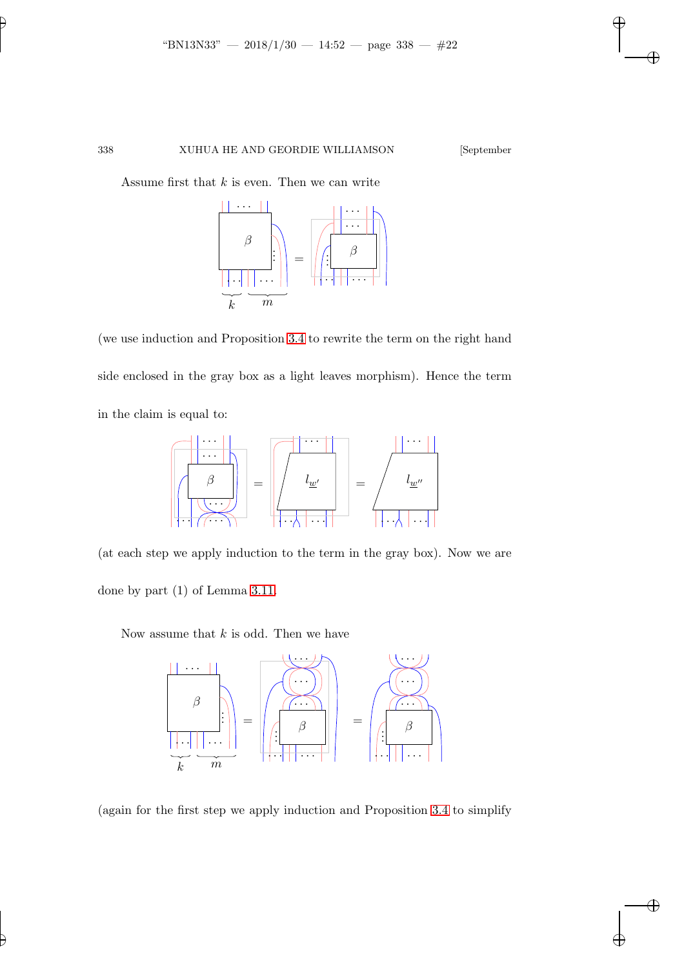Assume first that  $k$  is even. Then we can write



(we use induction and Proposition [3.4](#page-14-1) to rewrite the term on the right hand side enclosed in the gray box as a light leaves morphism). Hence the term in the claim is equal to:

β . . . . . . . . . . . . . . . = lw′ . . . . . . . . . = lw′′ . . . . . . . . .

(at each step we apply induction to the term in the gray box). Now we are done by part (1) of Lemma [3.11.](#page-19-0)

Now assume that  $k$  is odd. Then we have



(again for the first step we apply induction and Proposition [3.4](#page-14-1) to simplify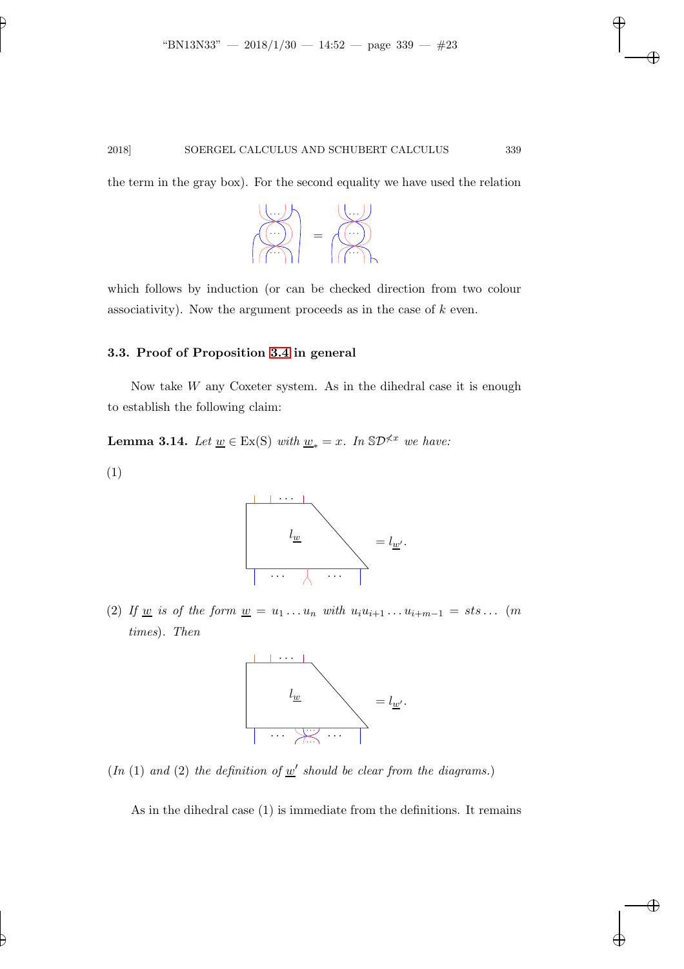the term in the gray box). For the second equality we have used the relation



which follows by induction (or can be checked direction from two colour associativity). Now the argument proceeds as in the case of  $k$  even.

### 3.3. Proof of Proposition [3.4](#page-14-1) in general

Now take  $W$  any Coxeter system. As in the dihedral case it is enough to establish the following claim:

**Lemma 3.14.** *Let*  $\underline{w} \in Ex(S)$  *with*  $\underline{w}_* = x$ *. In*  $S\mathcal{D}^{\nless x}$  *we have:* 

(1)



(2) If <u>w</u> is of the form  $\underline{w} = u_1 \dots u_n$  with  $u_i u_{i+1} \dots u_{i+m-1} = s t s \dots$  (m *times*)*. Then*



 $(In (1) and (2) the definition of  $w'$  should be clear from the diagrams.)$ 

As in the dihedral case (1) is immediate from the definitions. It remains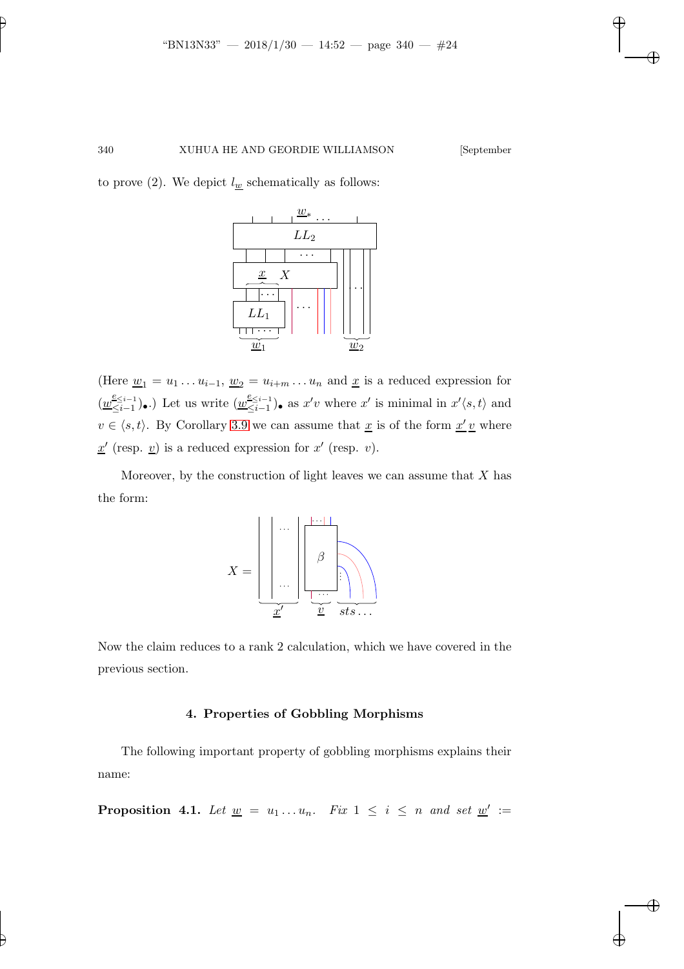to prove (2). We depict  $l_w$  schematically as follows:



(Here  $\underline{w}_1 = u_1 \dots u_{i-1}, \underline{w}_2 = u_{i+m} \dots u_n$  and  $\underline{x}$  is a reduced expression for  $\left(\frac{w^{\varepsilon_{\leq i-1}}}{\leq i-1}\right)$  $\frac{e \leq i-1}{\leq i-1}$ .) Let us write  $(\underline{w}_{\leq i-1}^{\underline{e} \leq i-1})$  $\leq_{i=1}^{\leq i-1}$  as  $x'v$  where  $x'$  is minimal in  $x'(s,t)$  and  $v \in \langle s, t \rangle$ . By Corollary [3.9](#page-16-0) we can assume that  $\underline{x}$  is of the form  $\underline{x'v}$  where  $\underline{x}'$  (resp.  $\underline{v}$ ) is a reduced expression for  $x'$  (resp.  $v$ ).

Moreover, by the construction of light leaves we can assume that  $X$  has the form:



Now the claim reduces to a rank 2 calculation, which we have covered in the previous section.

### 4. Properties of Gobbling Morphisms

<span id="page-23-0"></span>The following important property of gobbling morphisms explains their name:

**Proposition 4.1.** Let  $\underline{w} = u_1 \dots u_n$ . Fix  $1 \leq i \leq n$  and set  $\underline{w}' :=$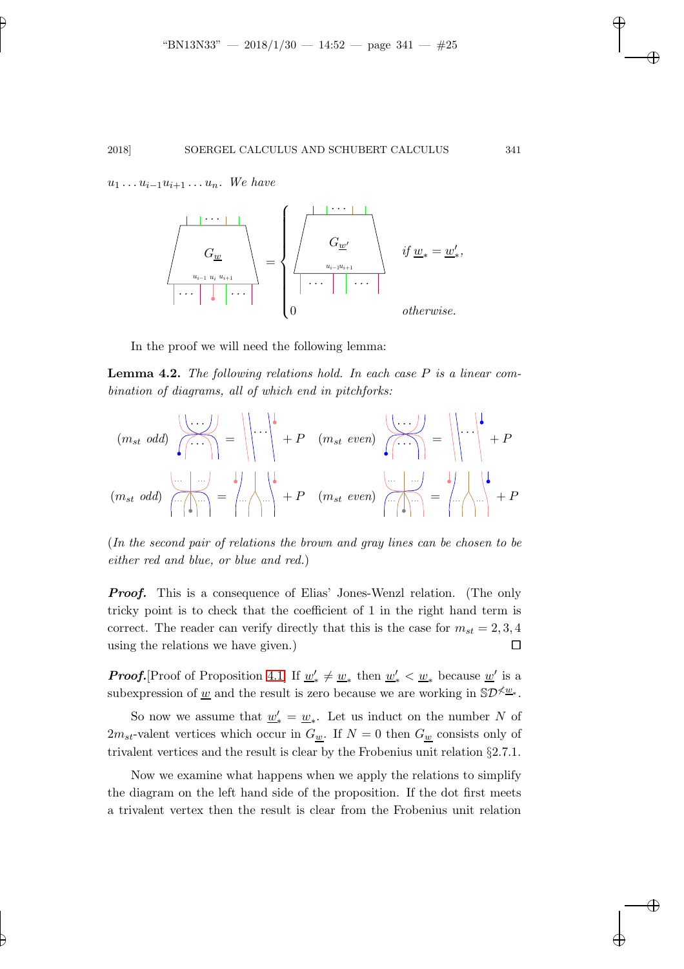$u_1 \ldots u_{i-1} u_{i+1} \ldots u_n$ . We have



<span id="page-24-0"></span>In the proof we will need the following lemma:

Lemma 4.2. *The following relations hold. In each case* P *is a linear combination of diagrams, all of which end in pitchforks:*

$$
(m_{st} \text{ odd}) \quad \begin{array}{c}\n\begin{pmatrix}\n\cdots \\
\cdots\n\end{pmatrix}\n\\
\begin{pmatrix}\n\cdots \\
\cdots\n\end{pmatrix}\n\\
\begin{pmatrix}\n\cdots \\
\cdots\n\end{pmatrix}\n\\
\begin{pmatrix}\n\cdots \\
\cdots\n\end{pmatrix}\n\\
\begin{pmatrix}\n\cdots \\
\cdots\n\end{pmatrix}\n\\
\begin{pmatrix}\n\cdots \\
\cdots\n\end{pmatrix}\n\\
\begin{pmatrix}\n\cdots \\
\cdots\n\end{pmatrix}\n\\
\begin{pmatrix}\n\cdots \\
\cdots\n\end{pmatrix}\n\\
\begin{pmatrix}\n\cdots \\
\cdots\n\end{pmatrix}\n\\
\begin{pmatrix}\n\cdots \\
\cdots\n\end{pmatrix}\n\\
\begin{pmatrix}\n\cdots \\
\cdots\n\end{pmatrix}\n\\
\begin{pmatrix}\n\cdots \\
\cdots\n\end{pmatrix}\n\\
\begin{pmatrix}\n\cdots \\
\cdots\n\end{pmatrix}\n\\
\begin{pmatrix}\n\cdots \\
\cdots\n\end{pmatrix}\n\\
\begin{pmatrix}\n\cdots \\
\cdots\n\end{pmatrix}\n\\
\begin{pmatrix}\n\cdots \\
\cdots\n\end{pmatrix}\n\\
\begin{pmatrix}\n\cdots \\
\cdots\n\end{pmatrix}\n\\
\begin{pmatrix}\n\cdots \\
\cdots\n\end{pmatrix}\n\\
\begin{pmatrix}\n\cdots \\
\cdots\n\end{pmatrix}\n\\
\begin{pmatrix}\n\cdots \\
\cdots\n\end{pmatrix}\n\\
\begin{pmatrix}\n\cdots \\
\cdots\n\end{pmatrix}\n\\
\begin{pmatrix}\n\cdots \\
\cdots\n\end{pmatrix}\n\\
\begin{pmatrix}\n\cdots \\
\cdots\n\end{pmatrix}\n\\
\begin{pmatrix}\n\cdots \\
\cdots\n\end{pmatrix}\n\\
\begin{pmatrix}\n\cdots \\
\cdots\n\end{pmatrix}\n\\
\begin{pmatrix}\n\cdots \\
\cdots\n\end{pmatrix}\n\\
\begin{pmatrix}\n\cdots \\
\cdots\n\end{pmatrix}\n\\
\begin{pmatrix}\n\cdots \\
\cdots\n\end{pmatrix}\n\\
\begin{pmatrix}\n\cdots \\
\cdots\n\end{pmatrix}\n\\
\begin{pmatrix}\n\cdots \\
\cdots\n\end{pmatrix}\n\\
\begin{pmatrix}\n\cdots \\
\cdots\n\end{pmatrix
$$

(*In the second pair of relations the brown and gray lines can be chosen to be either red and blue, or blue and red.*)

**Proof.** This is a consequence of Elias' Jones-Wenzl relation. (The only tricky point is to check that the coefficient of 1 in the right hand term is correct. The reader can verify directly that this is the case for  $m_{st} = 2, 3, 4$ using the relations we have given.)  $\Box$ 

**Proof.**[Proof of Proposition [4.1\]](#page-23-0) If  $\underline{w}'_* \neq \underline{w}_*$  then  $\underline{w}'_* < \underline{w}_*$  because  $\underline{w}'$  is a subexpression of <u>w</u> and the result is zero because we are working in  $\mathbb{S}D^{\times w^*}$ .

So now we assume that  $\underline{w}'_* = \underline{w}_*$ . Let us induct on the number N of  $2m_{st}$ -valent vertices which occur in  $G_{w}$ . If  $N = 0$  then  $G_{w}$  consists only of trivalent vertices and the result is clear by the Frobenius unit relation §2.7.1.

Now we examine what happens when we apply the relations to simplify the diagram on the left hand side of the proposition. If the dot first meets a trivalent vertex then the result is clear from the Frobenius unit relation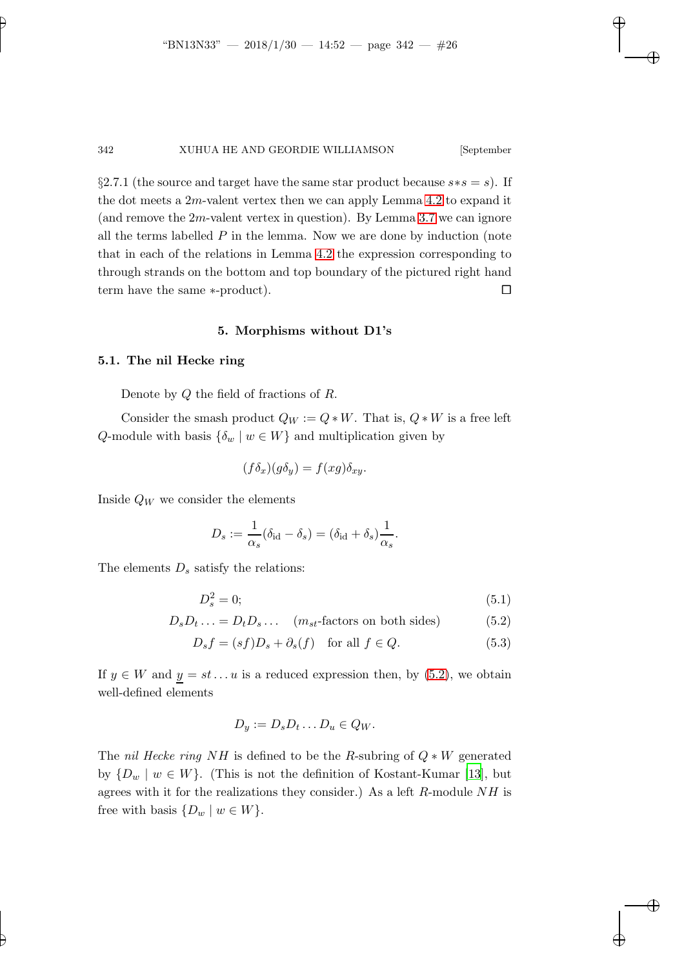§2.7.1 (the source and target have the same star product because  $s*s = s$ ). If the dot meets a  $2m$ -valent vertex then we can apply Lemma [4.2](#page-24-0) to expand it (and remove the  $2m$ -valent vertex in question). By Lemma [3.7](#page-15-0) we can ignore all the terms labelled  $P$  in the lemma. Now we are done by induction (note that in each of the relations in Lemma [4.2](#page-24-0) the expression corresponding to through strands on the bottom and top boundary of the pictured right hand term have the same ∗-product).  $\Box$ 

#### 5. Morphisms without D1's

#### 5.1. The nil Hecke ring

Denote by Q the field of fractions of R.

Consider the smash product  $Q_W := Q * W$ . That is,  $Q * W$  is a free left Q-module with basis  $\{\delta_w \mid w \in W\}$  and multiplication given by

$$
(f\delta_x)(g\delta_y) = f(xg)\delta_{xy}.
$$

Inside  $Q_W$  we consider the elements

$$
D_s := \frac{1}{\alpha_s} (\delta_{\rm id} - \delta_s) = (\delta_{\rm id} + \delta_s) \frac{1}{\alpha_s}.
$$

The elements  $D_s$  satisfy the relations:

$$
D_s^2 = 0;\t\t(5.1)
$$

$$
D_s D_t \dots = D_t D_s \dots \quad (m_{st}\text{-factors on both sides}) \tag{5.2}
$$

$$
D_s f = (sf)D_s + \partial_s(f) \quad \text{for all } f \in Q. \tag{5.3}
$$

If  $y \in W$  and  $y = st \dots u$  is a reduced expression then, by  $(5.2)$ , we obtain well-defined elements

<span id="page-25-0"></span>
$$
D_y := D_s D_t \dots D_u \in Q_W.
$$

The *nil Hecke ring* NH is defined to be the R-subring of Q ∗ W generated by  $\{D_w \mid w \in W\}$ . (This is not the definition of Kostant-Kumar [\[13](#page-33-7)], but agrees with it for the realizations they consider.) As a left  $R$ -module  $NH$  is free with basis  $\{D_w \mid w \in W\}$ .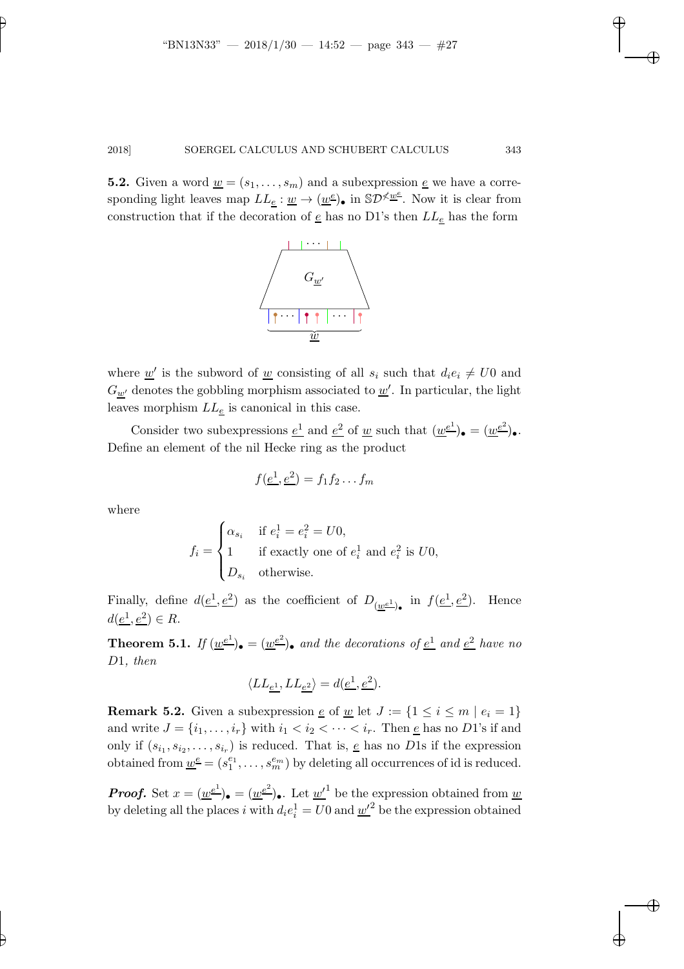**5.2.** Given a word  $\underline{w} = (s_1, \ldots, s_m)$  and a subexpression  $\underline{e}$  we have a corresponding light leaves map  $LL_{\underline{e}} : \underline{w} \to (\underline{w}^{\underline{e}})_{\bullet}$  in  $\mathbb{S}D^{\cancel{\sim} \underline{w}^{\underline{e}}}$ . Now it is clear from construction that if the decoration of  $\underline{e}$  has no D1's then  $LL_{\underline{e}}$  has the form



where <u> $w'$ </u> is the subword of <u>w</u> consisting of all  $s_i$  such that  $d_i e_i \neq U0$  and  $G_{\underline{w}'}$  denotes the gobbling morphism associated to  $\underline{w}'$ . In particular, the light leaves morphism  $LL_e$  is canonical in this case.

Consider two subexpressions  $\underline{e}^1$  and  $\underline{e}^2$  of <u>w</u> such that  $(\underline{w}^{\underline{e}^1})_{\bullet} = (\underline{w}^{\underline{e}^2})_{\bullet}$ . Define an element of the nil Hecke ring as the product

$$
f(\underline{e^1}, \underline{e^2}) = f_1 f_2 \dots f_m
$$

where

$$
f_i = \begin{cases} \alpha_{s_i} & \text{if } e_i^1 = e_i^2 = U0, \\ 1 & \text{if exactly one of } e_i^1 \text{ and } e_i^2 \text{ is } U0, \\ D_{s_i} & \text{otherwise.} \end{cases}
$$

<span id="page-26-0"></span>Finally, define  $d(\underline{e^1}, \underline{e^2})$  as the coefficient of  $D_{(\underline{w}\underline{e^1})_\bullet}$  in  $f(\underline{e^1}, \underline{e^2})$ . Hence  $d(\underline{e^1}, \underline{e^2}) \in R.$ 

**Theorem 5.1.** If  $(\underline{w}^{\underline{e}^1})_{\bullet} = (\underline{w}^{\underline{e}^2})_{\bullet}$  and the decorations of  $\underline{e}^1$  and  $\underline{e}^2$  have no D1*, then*

$$
\langle LL_{\underline{e^1}}, LL_{\underline{e^2}}\rangle = d(\underline{e^1}, \underline{e^2}).
$$

**Remark 5.2.** Given a subexpression  $\underline{e}$  of  $\underline{w}$  let  $J := \{1 \leq i \leq m \mid e_i = 1\}$ and write  $J = \{i_1, \ldots, i_r\}$  with  $i_1 < i_2 < \cdots < i_r$ . Then  $\underline{e}$  has no D1's if and only if  $(s_{i_1}, s_{i_2}, \ldots, s_{i_r})$  is reduced. That is, <u>e</u> has no D1s if the expression obtained from  $\underline{w}^{\underline{e}} = (s_1^{e_1}, \ldots, s_m^{e_m})$  by deleting all occurrences of id is reduced.

**Proof.** Set  $x = (\underline{w}^{\underline{e}^1})_{\bullet} = (\underline{w}^{\underline{e}^2})_{\bullet}$ . Let  $\underline{w'}^1$  be the expression obtained from  $\underline{w}$ by deleting all the places i with  $d_i e_i^1 = U_0$  and  $\underline{w'}^2$  be the expression obtained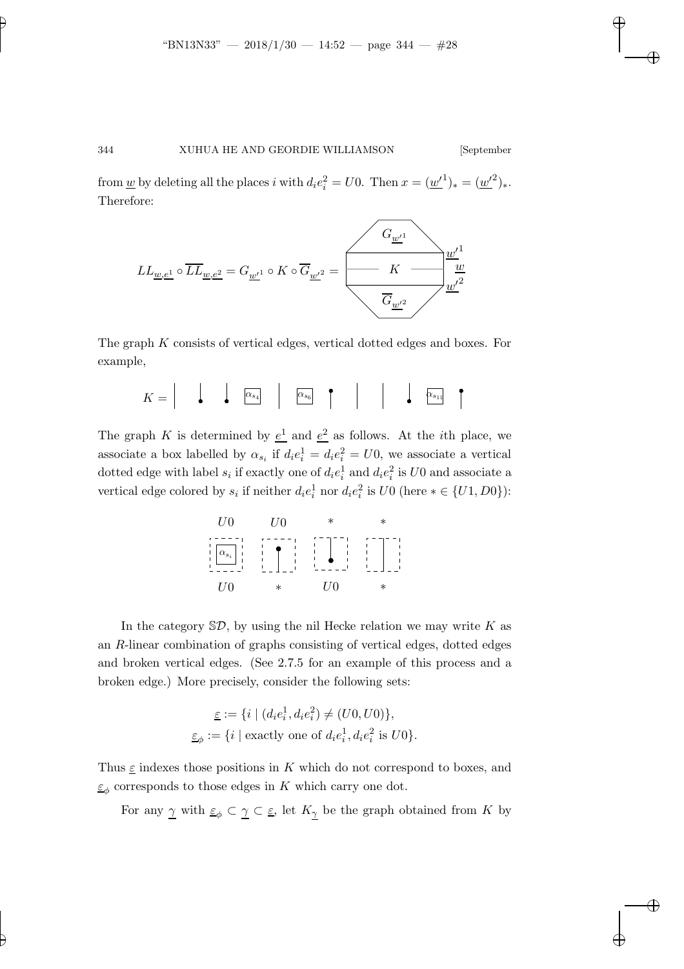from <u>w</u> by deleting all the places i with  $d_i e_i^2 = U0$ . Then  $x = (\underline{w'}^1)_* = (\underline{w'}^2)_*$ . Therefore:



The graph K consists of vertical edges, vertical dotted edges and boxes. For example,

$$
K = \begin{vmatrix} \cdot & \cdot & \cdot \\ \cdot & \cdot & \cdot \\ \cdot & \cdot & \cdot \\ \cdot & \cdot & \cdot \end{vmatrix} \qquad \boxed{\alpha_{s_6}} \qquad \begin{vmatrix} \cdot & \cdot & \cdot \\ \cdot & \cdot & \cdot \\ \cdot & \cdot & \cdot \end{vmatrix} \qquad \begin{vmatrix} \cdot & \cdot & \cdot \\ \cdot & \cdot & \cdot \\ \cdot & \cdot & \cdot \end{vmatrix}
$$

The graph K is determined by  $\underline{e}^1$  and  $\underline{e}^2$  as follows. At the *i*th place, we associate a box labelled by  $\alpha_{s_i}$  if  $d_i e_i^1 = d_i e_i^2 = U_0$ , we associate a vertical dotted edge with label  $s_i$  if exactly one of  $d_i e_i^1$  and  $d_i e_i^2$  is U0 and associate a vertical edge colored by  $s_i$  if neither  $d_i e_i^1$  nor  $d_i e_i^2$  is  $U0$  (here  $* \in \{U1, D0\}$ ):



In the category  $\mathcal{SD}$ , by using the nil Hecke relation we may write K as an R-linear combination of graphs consisting of vertical edges, dotted edges and broken vertical edges. (See 2.7.5 for an example of this process and a broken edge.) More precisely, consider the following sets:

$$
\underline{\varepsilon} := \{ i \mid (d_i e_i^1, d_i e_i^2) \neq (U0, U0) \},
$$
  

$$
\underline{\varepsilon}_{\phi} := \{ i \mid \text{exactly one of } d_i e_i^1, d_i e_i^2 \text{ is } U0 \}.
$$

Thus  $\varepsilon$  indexes those positions in K which do not correspond to boxes, and  $\underline{\varepsilon}_{\phi}$  corresponds to those edges in K which carry one dot.

For any  $\underline{\gamma}$  with  $\underline{\varepsilon}_{\phi}\subset\underline{\gamma}\subset\underline{\varepsilon}$ , let  $K_{\underline{\gamma}}$  be the graph obtained from K by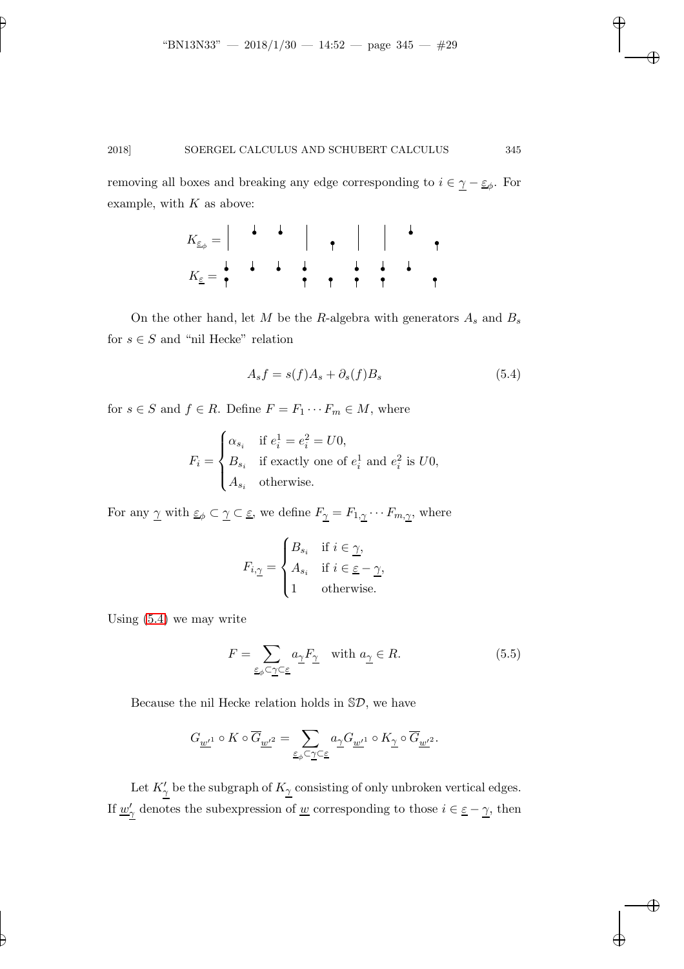removing all boxes and breaking any edge corresponding to  $i \in \underline{\gamma} - \underline{\varepsilon}_{\phi}$ . For example, with  $K$  as above:

$$
K_{\underline{\varepsilon}_{\phi}} = \begin{array}{c|c|c|c|c|c|c|c|c} \n\downarrow & \downarrow & \downarrow & \downarrow & \downarrow & \downarrow & \downarrow & \downarrow & \downarrow & \downarrow & \downarrow & \downarrow & \downarrow & \downarrow & \downarrow & \downarrow & \downarrow & \downarrow & \downarrow & \downarrow & \downarrow & \downarrow & \downarrow & \downarrow & \downarrow & \downarrow & \downarrow & \downarrow & \downarrow & \downarrow & \downarrow & \downarrow & \downarrow & \downarrow & \downarrow & \downarrow & \downarrow & \downarrow & \downarrow & \downarrow & \downarrow & \downarrow & \downarrow & \downarrow & \downarrow & \downarrow & \downarrow & \downarrow & \downarrow & \downarrow & \downarrow & \downarrow & \downarrow & \downarrow & \downarrow & \downarrow & \downarrow & \downarrow & \downarrow & \downarrow & \downarrow & \downarrow & \downarrow & \downarrow & \downarrow & \downarrow & \downarrow & \downarrow & \downarrow & \downarrow & \downarrow & \downarrow & \downarrow & \downarrow & \downarrow & \downarrow & \downarrow & \downarrow & \downarrow & \downarrow & \downarrow & \downarrow & \downarrow & \downarrow & \downarrow & \downarrow & \downarrow & \downarrow & \downarrow & \downarrow & \downarrow & \downarrow & \downarrow & \downarrow & \downarrow & \downarrow & \downarrow & \downarrow & \downarrow & \downarrow & \downarrow & \downarrow & \downarrow & \downarrow & \downarrow & \downarrow & \downarrow & \downarrow & \downarrow & \downarrow & \downarrow & \downarrow & \downarrow & \downarrow & \downarrow & \downarrow & \downarrow & \downarrow & \downarrow & \downarrow & \
$$

On the other hand, let  $M$  be the  $R$ -algebra with generators  $A_s$  and  $B_s$ for  $s \in S$  and "nil Hecke" relation

<span id="page-28-0"></span>
$$
A_s f = s(f)A_s + \partial_s(f)B_s \tag{5.4}
$$

for  $s \in S$  and  $f \in R$ . Define  $F = F_1 \cdots F_m \in M$ , where

$$
F_i = \begin{cases} \alpha_{s_i} & \text{if } e_i^1 = e_i^2 = U0, \\ B_{s_i} & \text{if exactly one of } e_i^1 \text{ and } e_i^2 \text{ is } U0, \\ A_{s_i} & \text{otherwise.} \end{cases}
$$

For any  $\gamma$  with  $\underline{\varepsilon}_{\phi} \subset \underline{\gamma} \subset \underline{\varepsilon}$ , we define  $F_{\underline{\gamma}} = F_{1,\underline{\gamma}} \cdots F_{m,\underline{\gamma}}$ , where

$$
F_{i,\underline{\gamma}} = \begin{cases} B_{s_i} & \text{if } i \in \underline{\gamma}, \\ A_{s_i} & \text{if } i \in \underline{\varepsilon} - \underline{\gamma}, \\ 1 & \text{otherwise.} \end{cases}
$$

Using [\(5.4\)](#page-28-0) we may write

<span id="page-28-1"></span>
$$
F = \sum_{\underline{\varepsilon}_{\phi} \subset \underline{\gamma} \subset \underline{\varepsilon}} a_{\underline{\gamma}} F_{\underline{\gamma}} \quad \text{with } a_{\underline{\gamma}} \in R.
$$
 (5.5)

Because the nil Hecke relation holds in  $\mathbb{S}\mathcal{D}$ , we have

$$
G_{\underline{w'}^1}\circ K\circ \overline{G}_{\underline{w'}^2}=\sum_{\underline{\varepsilon}_\phi\subset\underline{\gamma}\subset\underline{\varepsilon}}a_{\underline{\gamma}}G_{\underline{w'}^1}\circ K_{\underline{\gamma}}\circ \overline{G}_{\underline{w'}^2}.
$$

Let  $K'_{\gamma}$  be the subgraph of  $K_{\gamma}$  consisting of only unbroken vertical edges. If  $\underline{w}'_{\underline{\gamma}}$  denotes the subexpression of  $\underline{w}$  corresponding to those  $i \in \underline{\varepsilon} - \underline{\gamma}$ , then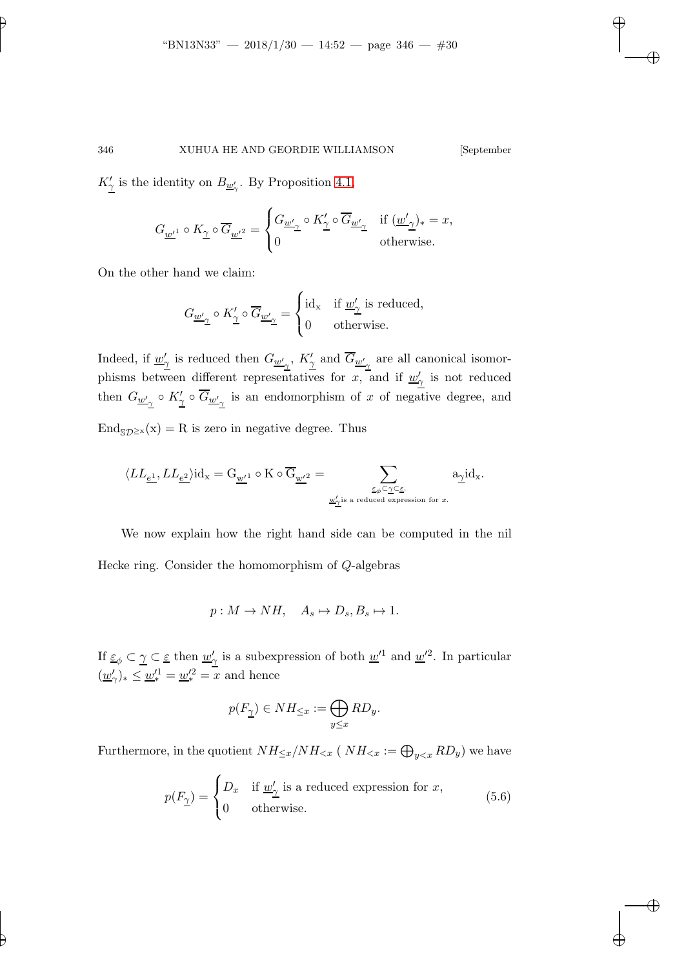$K'_{\gamma}$  is the identity on  $B_{\underline{w}'_{\gamma}}$ . By Proposition [4.1,](#page-23-0)

$$
G_{\underline{w'}^1}\circ K_{\underline{\gamma}}\circ \overline{G}_{\underline{w'}^2}=\begin{cases} G_{\underline{w'}_{\underline{\gamma}}}\circ K_{\underline{\gamma}}'\circ \overline{G}_{\underline{w'}_{\underline{\gamma}}} & \text{if }(\underline{w'}_{\underline{\gamma}})_*=x,\\ 0 & \text{otherwise}. \end{cases}
$$

On the other hand we claim:

$$
G_{\underline{w'}_\mathfrak{I}}\circ K_\underline{\gamma}'\circ \overline{G}_{\underline{w'}_\mathfrak{I}}=\begin{cases} \mathrm{id}_\mathbf{x} & \text{if $\underline{w'_\mathfrak{I}}$ is reduced,}\\ 0 & \text{otherwise.} \end{cases}
$$

Indeed, if  $\underline{w}'_2$  is reduced then  $G_{\underline{w}'_2}$ ,  $K'_2$  and  $\overline{G}_{\underline{w}'_2}$  are all canonical isomorphisms between different representatives for x, and if  $\underline{w}'_{\gamma}$  is not reduced then  $G_{\underline{w'}_{\gamma}} \circ K'_{\underline{\gamma}} \circ \overline{G}_{\underline{w'}_{\gamma}}$  is an endomorphism of x of negative degree, and  $\text{End}_{\text{SD}^{\geq x}}(x) = R$  is zero in negative degree. Thus

$$
\langle LL_{\underline{e^1}}, LL_{\underline{e^2}}\rangle{\rm id}_{\bf x}={\rm G}_{\underline{\bf w}'^1}\circ{\rm K}\circ\overline{\rm G}_{\underline{\bf w}'^2}=\sum_{\underline{\boldsymbol{\varepsilon}}_{\phi}\subset\underline{\boldsymbol{\gamma}}\subset\underline{\boldsymbol{\varepsilon}},\atop \underline{\bf w}'_{\gamma^{\textrm{is a reduced expression for $x$}}}}{\rm a}_{\underline{\boldsymbol{\gamma}}} {\rm id}_{\bf x}.
$$

We now explain how the right hand side can be computed in the nil Hecke ring. Consider the homomorphism of Q-algebras

$$
p: M \to NH, \quad A_s \mapsto D_s, B_s \mapsto 1.
$$

If  $\underline{\varepsilon}_{\phi} \subset \underline{\gamma} \subset \underline{\varepsilon}$  then  $\underline{w}'_2$  is a subexpression of both  $\underline{w}'^1$  and  $\underline{w}'^2$ . In particular  $(\underline{w}'_{\gamma})_* \leq \underline{w}'^1_* = \underline{w}'^2_* = x$  and hence

$$
p(F_{\underline{\gamma}})\in NH_{\leq x}:=\bigoplus_{y\leq x}RD_y.
$$

Furthermore, in the quotient  $NH_{\leq x}/NH_{\leq x}$  (  $NH_{\leq x} := \bigoplus_{y \leq x} RD_y$ ) we have

$$
p(F_{\underline{\gamma}}) = \begin{cases} D_x & \text{if } \underline{w}_{\underline{\gamma}}' \text{ is a reduced expression for } x, \\ 0 & \text{otherwise.} \end{cases}
$$
 (5.6)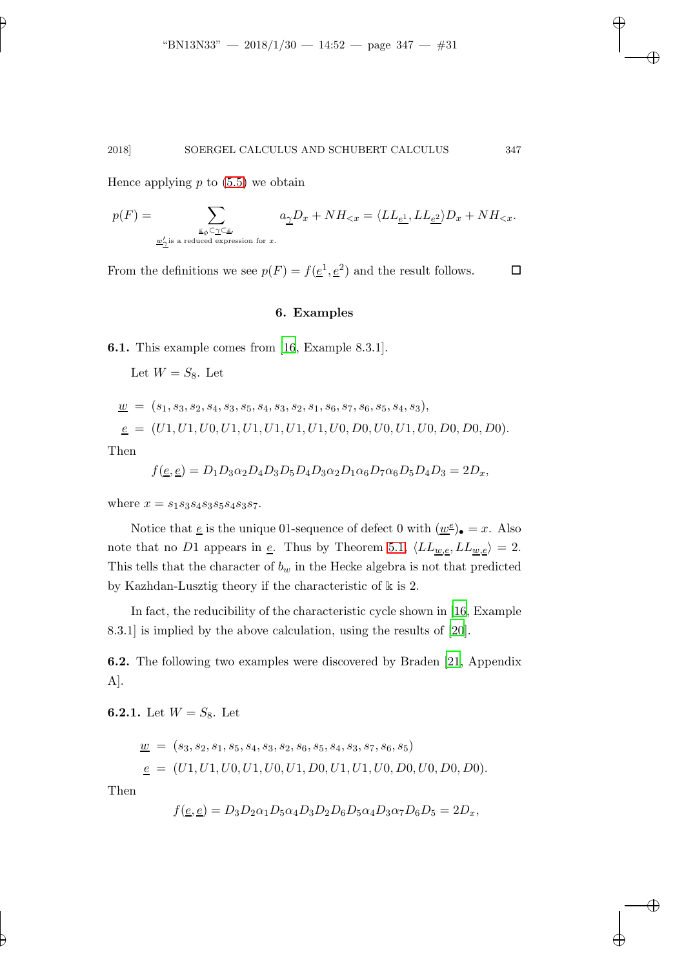Hence applying  $p$  to  $(5.5)$  we obtain

$$
p(F)=\sum_{\underline{\varepsilon}_{\phi}\subset\underline{\gamma}\subset\underline{\varepsilon},\atop \underline{w}'_{\underline{\gamma}}\text{is a reduced expression for }x.}a_{\underline{\gamma}}D_x+NH_{
$$

From the definitions we see  $p(F) = f(\underline{e}^1, \underline{e}^2)$  and the result follows.  $\Box$ 

#### 6. Examples

6.1. This example comes from [\[16](#page-33-8), Example 8.3.1].

Let  $W = S_8$ . Let

$$
\underline{w} = (s_1, s_3, s_2, s_4, s_3, s_5, s_4, s_3, s_2, s_1, s_6, s_7, s_6, s_5, s_4, s_3),
$$
  

$$
\underline{e} = (U1, U1, U0, U1, U1, U1, U1, U1, U0, D0, U0, U1, U0, D0, D0, D0).
$$

Then

$$
f(\underline{e}, \underline{e}) = D_1 D_3 \alpha_2 D_4 D_3 D_5 D_4 D_3 \alpha_2 D_1 \alpha_6 D_7 \alpha_6 D_5 D_4 D_3 = 2D_x,
$$

where  $x = s_1 s_3 s_4 s_3 s_5 s_4 s_3 s_7$ .

Notice that  $\underline{e}$  is the unique 01-sequence of defect 0 with  $(\underline{w}^{\underline{e}})_{\bullet} = x$ . Also note that no D1 appears in <u>e</u>. Thus by Theorem [5.1,](#page-26-0)  $\langle LL_{\underline{w},\underline{e}}, LL_{\underline{w},\underline{e}} \rangle = 2$ . This tells that the character of  $b_w$  in the Hecke algebra is not that predicted by Kazhdan-Lusztig theory if the characteristic of k is 2.

In fact, the reducibility of the characteristic cycle shown in [\[16](#page-33-8), Example 8.3.1] is implied by the above calculation, using the results of [\[20](#page-33-9)].

6.2. The following two examples were discovered by Braden [\[21](#page-33-4), Appendix A].

6.2.1. Let  $W = S_8$ . Let

$$
\underline{w} = (s_3, s_2, s_1, s_5, s_4, s_3, s_2, s_6, s_5, s_4, s_3, s_7, s_6, s_5)
$$
  

$$
\underline{e} = (U1, U1, U0, U1, U0, U1, D0, U1, U1, U0, D0, U0, D0, D0).
$$

Then

$$
f(\underline{e}, \underline{e}) = D_3 D_2 \alpha_1 D_5 \alpha_4 D_3 D_2 D_6 D_5 \alpha_4 D_3 \alpha_7 D_6 D_5 = 2D_x,
$$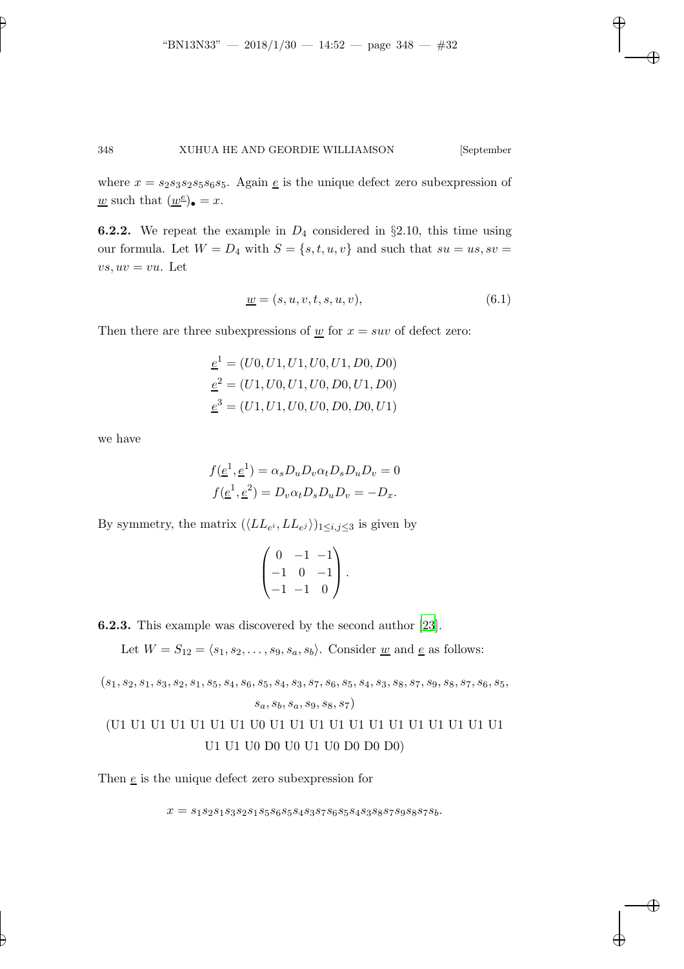where  $x = s_2s_3s_2s_5s_6s_5$ . Again  $\underline{e}$  is the unique defect zero subexpression of <u>w</u> such that  $(\underline{w}^e)_{\bullet} = x$ .

**6.2.2.** We repeat the example in  $D_4$  considered in §2.10, this time using our formula. Let  $W = D_4$  with  $S = \{s, t, u, v\}$  and such that  $su = us, sv =$  $vs, uv = vu$ . Let

$$
\underline{w} = (s, u, v, t, s, u, v),\tag{6.1}
$$

Then there are three subexpressions of  $\underline{w}$  for  $x = suv$  of defect zero:

$$
\underline{e}^{1} = (U0, U1, U1, U0, U1, D0, D0)
$$

$$
\underline{e}^{2} = (U1, U0, U1, U0, D0, U1, D0)
$$

$$
\underline{e}^{3} = (U1, U1, U0, U0, D0, D0, U1)
$$

we have

$$
f(\underline{e}^1, \underline{e}^1) = \alpha_s D_u D_v \alpha_t D_s D_u D_v = 0
$$
  

$$
f(\underline{e}^1, \underline{e}^2) = D_v \alpha_t D_s D_u D_v = -D_x.
$$

By symmetry, the matrix  $(\langle LL_{e^i}, LL_{e^j} \rangle)_{1 \leq i,j \leq 3}$  is given by

$$
\begin{pmatrix} 0 & -1 & -1 \ -1 & 0 & -1 \ -1 & -1 & 0 \end{pmatrix}.
$$

6.2.3. This example was discovered by the second author [\[23](#page-33-10)].

Let  $W = S_{12} = \langle s_1, s_2, \ldots, s_9, s_a, s_b \rangle$ . Consider <u>w</u> and <u>e</u> as follows:

(s1, s2, s1, s3, s2, s1, s5, s4, s6, s5, s4, s3, s7, s6, s5, s4, s3, s8, s7, s9, s8, s7, s6, s5, sa, sb, sa, s9, s8, s7) (U1 U1 U1 U1 U1 U1 U1 U0 U1 U1 U1 U1 U1 U1 U1 U1 U1 U1 U1 U1

```
U1 U1 U0 D0 U0 U1 U0 D0 D0 D0)
```
Then  $\underline{e}$  is the unique defect zero subexpression for

 $x = s_1 s_2 s_1 s_3 s_2 s_1 s_5 s_6 s_5 s_4 s_3 s_7 s_6 s_5 s_4 s_3 s_8 s_7 s_9 s_8 s_7 s_b. \label{eq:3.1}$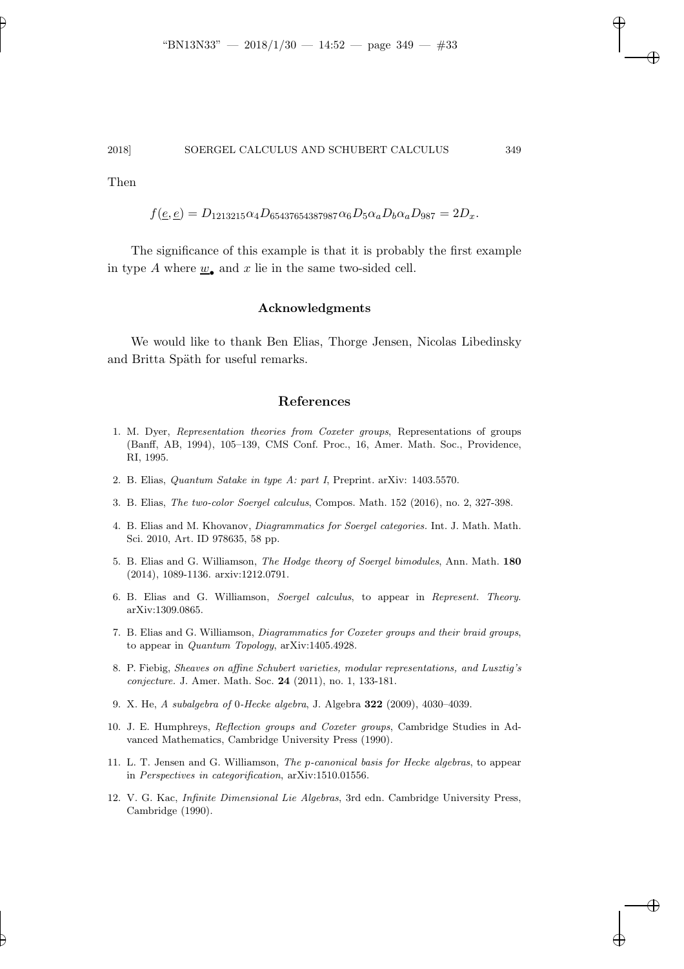Then

$$
f(\underline{e}, \underline{e}) = D_{1213215} \alpha_4 D_{65437654387987} \alpha_6 D_5 \alpha_a D_b \alpha_a D_{987} = 2D_x.
$$

The significance of this example is that it is probably the first example in type A where  $\underline{w}_{\bullet}$  and x lie in the same two-sided cell.

#### Acknowledgments

We would like to thank Ben Elias, Thorge Jensen, Nicolas Libedinsky and Britta Späth for useful remarks.

# References

- <span id="page-32-5"></span>1. M. Dyer, Representation theories from Coxeter groups, Representations of groups (Banff, AB, 1994), 105–139, CMS Conf. Proc., 16, Amer. Math. Soc., Providence, RI, 1995.
- <span id="page-32-9"></span>2. B. Elias, Quantum Satake in type A: part I, Preprint. arXiv: 1403.5570.
- <span id="page-32-3"></span>3. B. Elias, The two-color Soergel calculus, Compos. Math. 152 (2016), no. 2, 327-398.
- <span id="page-32-2"></span>4. B. Elias and M. Khovanov, Diagrammatics for Soergel categories. Int. J. Math. Math. Sci. 2010, Art. ID 978635, 58 pp.
- <span id="page-32-11"></span>5. B. Elias and G. Williamson, The Hodge theory of Soergel bimodules, Ann. Math. 180 (2014), 1089-1136. arxiv:1212.0791.
- <span id="page-32-4"></span>6. B. Elias and G. Williamson, Soergel calculus, to appear in Represent. Theory. arXiv:1309.0865.
- <span id="page-32-10"></span>7. B. Elias and G. Williamson, Diagrammatics for Coxeter groups and their braid groups, to appear in Quantum Topology, arXiv:1405.4928.
- <span id="page-32-0"></span>8. P. Fiebig, Sheaves on affine Schubert varieties, modular representations, and Lusztig's conjecture. J. Amer. Math. Soc. 24 (2011), no. 1, 133-181.
- <span id="page-32-6"></span>9. X. He, A subalgebra of 0-Hecke algebra, J. Algebra 322 (2009), 4030–4039.
- <span id="page-32-7"></span>10. J. E. Humphreys, Reflection groups and Coxeter groups, Cambridge Studies in Advanced Mathematics, Cambridge University Press (1990).
- <span id="page-32-1"></span>11. L. T. Jensen and G. Williamson, The p-canonical basis for Hecke algebras, to appear in Perspectives in categorification, arXiv:1510.01556.
- <span id="page-32-8"></span>12. V. G. Kac, Infinite Dimensional Lie Algebras, 3rd edn. Cambridge University Press, Cambridge (1990).